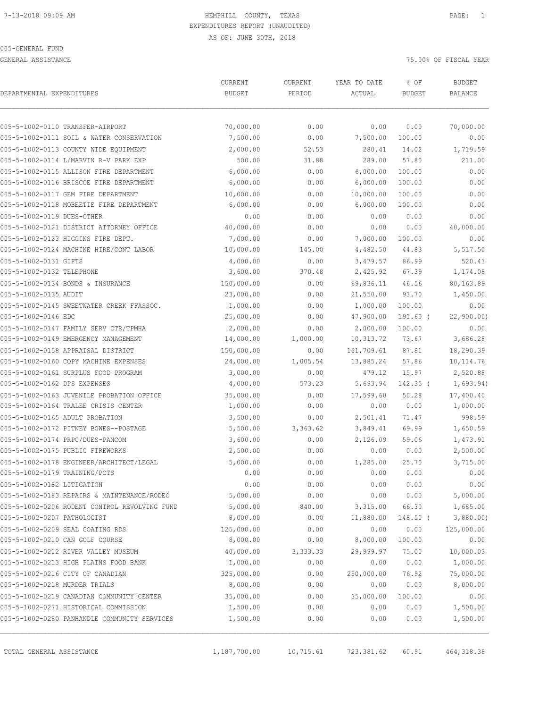GENERAL ASSISTANCE **75.000 OF FISCAL YEAR** 

| DEPARTMENTAL EXPENDITURES                     | CURRENT<br><b>BUDGET</b> | CURRENT<br>PERIOD | YEAR TO DATE<br>ACTUAL | % OF<br><b>BUDGET</b> | <b>BUDGET</b><br>BALANCE |
|-----------------------------------------------|--------------------------|-------------------|------------------------|-----------------------|--------------------------|
| 005-5-1002-0110 TRANSFER-AIRPORT              | 70,000.00                | 0.00              | 0.00                   | 0.00                  | 70,000.00                |
| 005-5-1002-0111 SOIL & WATER CONSERVATION     | 7,500.00                 | 0.00              | 7,500.00               | 100.00                | 0.00                     |
| 005-5-1002-0113 COUNTY WIDE EQUIPMENT         | 2,000.00                 | 52.53             | 280.41                 | 14.02                 | 1,719.59                 |
| 005-5-1002-0114 L/MARVIN R-V PARK EXP         | 500.00                   | 31.88             | 289.00                 | 57.80                 | 211.00                   |
| 005-5-1002-0115 ALLISON FIRE DEPARTMENT       | 6,000.00                 | 0.00              | 6,000.00               | 100.00                | 0.00                     |
| 005-5-1002-0116 BRISCOE FIRE DEPARTMENT       | 6,000.00                 | 0.00              | 6,000.00               | 100.00                | 0.00                     |
| 005-5-1002-0117 GEM FIRE DEPARTMENT           | 10,000.00                | 0.00              | 10,000.00              | 100.00                | 0.00                     |
| 005-5-1002-0118 MOBEETIE FIRE DEPARTMENT      | 6,000.00                 | 0.00              | 6,000.00               | 100.00                | 0.00                     |
| 005-5-1002-0119 DUES-OTHER                    | 0.00                     | 0.00              | 0.00                   | 0.00                  | 0.00                     |
| 005-5-1002-0121 DISTRICT ATTORNEY OFFICE      | 40,000.00                | 0.00              | 0.00                   | 0.00                  | 40,000.00                |
| 005-5-1002-0123 HIGGINS FIRE DEPT.            | 7,000.00                 | 0.00              | 7,000.00               | 100.00                | 0.00                     |
| 005-5-1002-0124 MACHINE HIRE/CONT LABOR       | 10,000.00                | 145.00            | 4,482.50               | 44.83                 | 5,517.50                 |
| 005-5-1002-0131 GIFTS                         | 4,000.00                 | 0.00              | 3,479.57               | 86.99                 | 520.43                   |
| 005-5-1002-0132 TELEPHONE                     | 3,600.00                 | 370.48            | 2,425.92               | 67.39                 | 1,174.08                 |
| 005-5-1002-0134 BONDS & INSURANCE             | 150,000.00               | 0.00              | 69,836.11              | 46.56                 | 80,163.89                |
| 005-5-1002-0135 AUDIT                         | 23,000.00                | 0.00              | 21,550.00              | 93.70                 | 1,450.00                 |
| 005-5-1002-0145 SWEETWATER CREEK FFASSOC.     | 1,000.00                 | 0.00              | 1,000.00               | 100.00                | 0.00                     |
| 005-5-1002-0146 EDC                           | 25,000.00                | 0.00              | 47,900.00              | $191.60$ (            | 22,900.00)               |
| 005-5-1002-0147 FAMILY SERV CTR/TPMHA         | 2,000.00                 | 0.00              | 2,000.00               | 100.00                | 0.00                     |
| 005-5-1002-0149 EMERGENCY MANAGEMENT          | 14,000.00                | 1,000.00          | 10,313.72              | 73.67                 | 3,686.28                 |
| 005-5-1002-0158 APPRAISAL DISTRICT            | 150,000.00               | 0.00              | 131,709.61             | 87.81                 | 18,290.39                |
| 005-5-1002-0160 COPY MACHINE EXPENSES         | 24,000.00                | 1,005.54          | 13,885.24              | 57.86                 | 10, 114.76               |
| 005-5-1002-0161 SURPLUS FOOD PROGRAM          | 3,000.00                 | 0.00              | 479.12                 | 15.97                 | 2,520.88                 |
| 005-5-1002-0162 DPS EXPENSES                  | 4,000.00                 | 573.23            | 5,693.94               | $142.35$ (            | 1,693.94)                |
| 005-5-1002-0163 JUVENILE PROBATION OFFICE     | 35,000.00                | 0.00              | 17,599.60              | 50.28                 | 17,400.40                |
| 005-5-1002-0164 TRALEE CRISIS CENTER          | 1,000.00                 | 0.00              | 0.00                   | 0.00                  | 1,000.00                 |
| 005-5-1002-0165 ADULT PROBATION               | 3,500.00                 | 0.00              | 2,501.41               | 71.47                 | 998.59                   |
| 005-5-1002-0172 PITNEY BOWES--POSTAGE         | 5,500.00                 | 3,363.62          | 3,849.41               | 69.99                 | 1,650.59                 |
| 005-5-1002-0174 PRPC/DUES-PANCOM              | 3,600.00                 | 0.00              | 2,126.09               | 59.06                 | 1,473.91                 |
| 005-5-1002-0175 PUBLIC FIREWORKS              | 2,500.00                 | 0.00              | 0.00                   | 0.00                  | 2,500.00                 |
| 005-5-1002-0178 ENGINEER/ARCHITECT/LEGAL      | 5,000.00                 | 0.00              | 1,285.00               | 25.70                 | 3,715.00                 |
| 005-5-1002-0179 TRAINING/PCTS                 | 0.00                     | 0.00              | 0.00                   | 0.00                  | 0.00                     |
| 005-5-1002-0182 LITIGATION                    | 0.00                     | 0.00              | 0.00                   | 0.00                  | 0.00                     |
| 005-5-1002-0183 REPAIRS & MAINTENANCE/RODEO   | 5,000.00                 | 0.00              | 0.00                   | 0.00                  | 5,000.00                 |
| 005-5-1002-0206 RODENT CONTROL REVOLVING FUND | 5,000.00                 | 840.00            | 3,315.00               | 66.30                 | 1,685.00                 |
| 005-5-1002-0207 PATHOLOGIST                   | 8,000.00                 | 0.00              | 11,880.00              | $148.50$ (            | 3,880.00                 |
| 005-5-1002-0209 SEAL COATING RDS              | 125,000.00               | 0.00              | 0.00                   | 0.00                  | 125,000.00               |
| 005-5-1002-0210 CAN GOLF COURSE               | 8,000.00                 | 0.00              | 8,000.00               | 100.00                | 0.00                     |
| 005-5-1002-0212 RIVER VALLEY MUSEUM           | 40,000.00                | 3,333.33          | 29,999.97              | 75.00                 | 10,000.03                |
| 005-5-1002-0213 HIGH PLAINS FOOD BANK         | 1,000.00                 | 0.00              | 0.00                   | 0.00                  | 1,000.00                 |
| 005-5-1002-0216 CITY OF CANADIAN              | 325,000.00               | 0.00              | 250,000.00             | 76.92                 | 75,000.00                |
| 005-5-1002-0218 MURDER TRIALS                 | 8,000.00                 | 0.00              | 0.00                   | 0.00                  | 8,000.00                 |
| 005-5-1002-0219 CANADIAN COMMUNITY CENTER     | 35,000.00                | 0.00              | 35,000.00              | 100.00                | 0.00                     |
| 005-5-1002-0271 HISTORICAL COMMISSION         | 1,500.00                 | 0.00              | 0.00                   | 0.00                  | 1,500.00                 |
| 005-5-1002-0280 PANHANDLE COMMUNITY SERVICES  | 1,500.00                 | 0.00              | 0.00                   | 0.00                  | 1,500.00                 |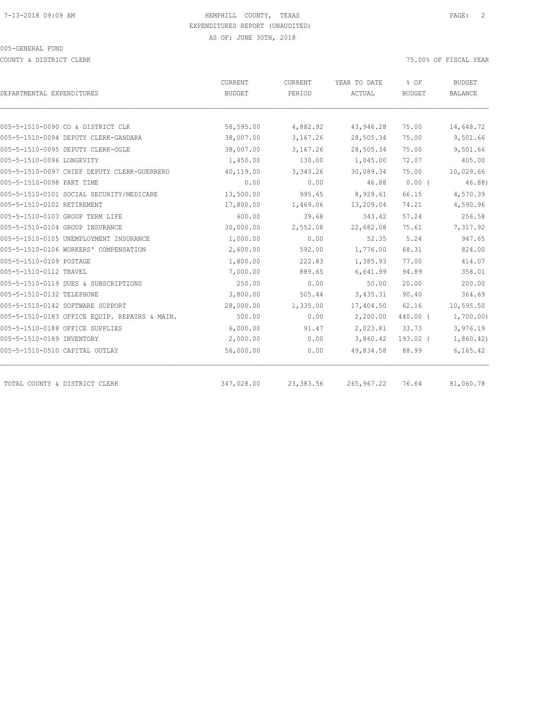COUNTY & DISTRICT CLERK 75.00% OF FISCAL YEAR

| DEPARTMENTAL EXPENDITURES                     | <b>CURRENT</b> | CURRENT    | YEAR TO DATE | % OF<br>BUDGET | <b>BUDGET</b><br>BALANCE |
|-----------------------------------------------|----------------|------------|--------------|----------------|--------------------------|
|                                               | BUDGET         | PERIOD     | ACTUAL       |                |                          |
|                                               |                |            |              |                |                          |
| 005-5-1510-0090 CO & DISTRICT CLK             | 58,595.00      | 4,882.92   | 43,946.28    | 75.00          | 14,648.72                |
| 005-5-1510-0094 DEPUTY CLERK-GANDARA          | 38,007.00      | 3,167.26   | 28,505.34    | 75.00          | 9,501.66                 |
| 005-5-1510-0095 DEPUTY CLERK-OGLE             | 38,007.00      | 3,167.26   | 28,505.34    | 75.00          | 9,501.66                 |
| 005-5-1510-0096 LONGEVITY                     | 1,450.00       | 130.00     | 1,045.00     | 72.07          | 405.00                   |
| 005-5-1510-0097 CHIEF DEPUTY CLERK-GUERRERO   | 40,119.00      | 3,343.26   | 30,089.34    | 75.00          | 10,029.66                |
| 005-5-1510-0098 PART TIME                     | 0.00           | 0.00       | 46.88        | $0.00$ (       | 46.88)                   |
| 005-5-1510-0101 SOCIAL SECURITY/MEDICARE      | 13,500.00      | 995.65     | 8,929.61     | 66.15          | 4,570.39                 |
| 005-5-1510-0102 RETIREMENT                    | 17,800.00      | 1,469.06   | 13,209.04    | 74.21          | 4,590.96                 |
| 005-5-1510-0103 GROUP TERM LIFE               | 600.00         | 39.68      | 343.42       | 57.24          | 256.58                   |
| 005-5-1510-0104 GROUP INSURANCE               | 30,000.00      | 2,552.08   | 22,682.08    | 75.61          | 7,317.92                 |
| 005-5-1510-0105 UNEMPLOYMENT INSURANCE        | 1,000.00       | 0.00       | 52.35        | 5.24           | 947.65                   |
| 005-5-1510-0106 WORKERS' COMPENSATION         | 2,600.00       | 592.00     | 1,776.00     | 68.31          | 824.00                   |
| 005-5-1510-0109 POSTAGE                       | 1,800.00       | 222.83     | 1,385.93     | 77.00          | 414.07                   |
| 005-5-1510-0112 TRAVEL                        | 7,000.00       | 889.65     | 6,641.99     | 94.89          | 358.01                   |
| 005-5-1510-0119 DUES & SUBSCRIPTIONS          | 250.00         | 0.00       | 50.00        | 20.00          | 200.00                   |
| 005-5-1510-0132 TELEPHONE                     | 3,800.00       | 505.44     | 3,435.31     | 90.40          | 364.69                   |
| 005-5-1510-0142 SOFTWARE SUPPORT              | 28,000.00      | 1,335.00   | 17,404.50    | 62.16          | 10,595.50                |
| 005-5-1510-0183 OFFICE EQUIP. REPAIRS & MAIN. | 500.00         | 0.00       | 2,200.00     | 440.00 (       | 1,700.00)                |
| 005-5-1510-0188 OFFICE SUPPLIES               | 6,000.00       | 91.47      | 2,023.81     | 33.73          | 3,976.19                 |
| 005-5-1510-0189 INVENTORY                     | 2,000.00       | 0.00       | 3,860.42     | 193.02 (       | 1,860.42)                |
| 005-5-1510-0510 CAPITAL OUTLAY                | 56,000.00      | 0.00       | 49,834.58    | 88.99          | 6, 165.42                |
| TOTAL COUNTY & DISTRICT CLERK                 | 347,028.00     | 23, 383.56 | 265, 967.22  | 76.64          | 81,060.78                |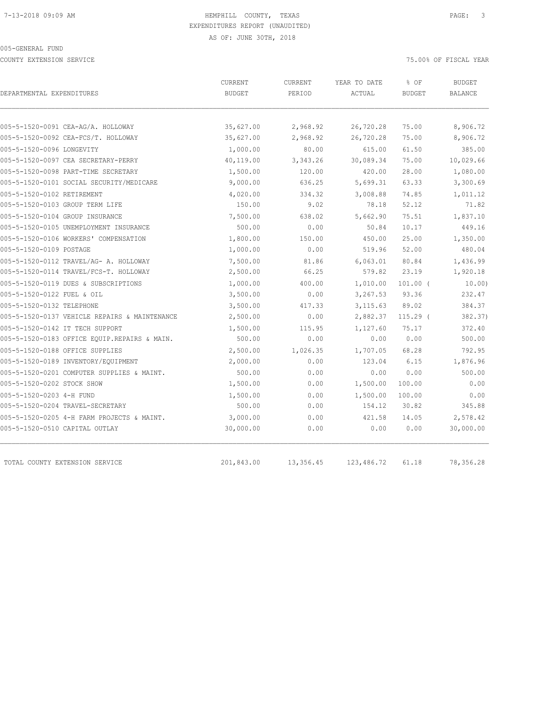COUNTY EXTENSION SERVICE 75.00% OF FISCAL YEAR

| DEPARTMENTAL EXPENDITURES<br>005-5-1520-0091 CEA-AG/A. HOLLOWAY<br>005-5-1520-0092 CEA-FCS/T. HOLLOWAY<br>005-5-1520-0096 LONGEVITY<br>005-5-1520-0097 CEA SECRETARY-PERRY | <b>BUDGET</b><br>35,627.00<br>35,627.00<br>1,000.00<br>40,119.00<br>1,500.00<br>9,000.00<br>4,020.00<br>150.00 | PERIOD<br>2,968.92<br>2,968.92<br>80.00<br>3,343.26<br>120.00<br>636.25<br>334.32 | ACTUAL<br>26,720.28<br>26,720.28<br>615.00<br>30,089.34<br>420.00<br>5,699.31 | <b>BUDGET</b><br>75.00<br>75.00<br>61.50<br>75.00<br>28.00<br>63.33 | <b>BALANCE</b><br>8,906.72<br>8,906.72<br>385.00<br>10,029.66<br>1,080.00<br>3,300.69 |
|----------------------------------------------------------------------------------------------------------------------------------------------------------------------------|----------------------------------------------------------------------------------------------------------------|-----------------------------------------------------------------------------------|-------------------------------------------------------------------------------|---------------------------------------------------------------------|---------------------------------------------------------------------------------------|
|                                                                                                                                                                            |                                                                                                                |                                                                                   |                                                                               |                                                                     |                                                                                       |
|                                                                                                                                                                            |                                                                                                                |                                                                                   |                                                                               |                                                                     |                                                                                       |
|                                                                                                                                                                            |                                                                                                                |                                                                                   |                                                                               |                                                                     |                                                                                       |
|                                                                                                                                                                            |                                                                                                                |                                                                                   |                                                                               |                                                                     |                                                                                       |
|                                                                                                                                                                            |                                                                                                                |                                                                                   |                                                                               |                                                                     |                                                                                       |
| 005-5-1520-0098 PART-TIME SECRETARY                                                                                                                                        |                                                                                                                |                                                                                   |                                                                               |                                                                     |                                                                                       |
| 005-5-1520-0101 SOCIAL SECURITY/MEDICARE                                                                                                                                   |                                                                                                                |                                                                                   |                                                                               |                                                                     |                                                                                       |
| 005-5-1520-0102 RETIREMENT                                                                                                                                                 |                                                                                                                |                                                                                   | 3,008.88                                                                      | 74.85                                                               | 1,011.12                                                                              |
| 005-5-1520-0103 GROUP TERM LIFE                                                                                                                                            |                                                                                                                | 9.02                                                                              | 78.18                                                                         | 52.12                                                               | 71.82                                                                                 |
| 005-5-1520-0104 GROUP INSURANCE                                                                                                                                            | 7,500.00                                                                                                       | 638.02                                                                            | 5,662.90                                                                      | 75.51                                                               | 1,837.10                                                                              |
| 005-5-1520-0105 UNEMPLOYMENT INSURANCE                                                                                                                                     | 500.00                                                                                                         | 0.00                                                                              | 50.84                                                                         | 10.17                                                               | 449.16                                                                                |
| 005-5-1520-0106 WORKERS' COMPENSATION                                                                                                                                      | 1,800.00                                                                                                       | 150.00                                                                            | 450.00                                                                        | 25.00                                                               | 1,350.00                                                                              |
| 005-5-1520-0109 POSTAGE                                                                                                                                                    | 1,000.00                                                                                                       | 0.00                                                                              | 519.96                                                                        | 52.00                                                               | 480.04                                                                                |
| 005-5-1520-0112 TRAVEL/AG- A. HOLLOWAY                                                                                                                                     | 7,500.00                                                                                                       | 81.86                                                                             | 6,063.01                                                                      | 80.84                                                               | 1,436.99                                                                              |
| 005-5-1520-0114 TRAVEL/FCS-T. HOLLOWAY                                                                                                                                     | 2,500.00                                                                                                       | 66.25                                                                             | 579.82                                                                        | 23.19                                                               | 1,920.18                                                                              |
| 005-5-1520-0119 DUES & SUBSCRIPTIONS                                                                                                                                       | 1,000.00                                                                                                       | 400.00                                                                            | 1,010.00                                                                      | $101.00$ (                                                          | 10.00                                                                                 |
| 005-5-1520-0122 FUEL & OIL                                                                                                                                                 | 3,500.00                                                                                                       | 0.00                                                                              | 3,267.53                                                                      | 93.36                                                               | 232.47                                                                                |
| 005-5-1520-0132 TELEPHONE                                                                                                                                                  | 3,500.00                                                                                                       | 417.33                                                                            | 3, 115.63                                                                     | 89.02                                                               | 384.37                                                                                |
| 005-5-1520-0137 VEHICLE REPAIRS & MAINTENANCE                                                                                                                              | 2,500.00                                                                                                       | 0.00                                                                              | 2,882.37                                                                      | $115.29$ (                                                          | 382.37)                                                                               |
| 005-5-1520-0142 IT TECH SUPPORT                                                                                                                                            | 1,500.00                                                                                                       | 115.95                                                                            | 1,127.60                                                                      | 75.17                                                               | 372.40                                                                                |
| 005-5-1520-0183 OFFICE EQUIP.REPAIRS & MAIN.                                                                                                                               | 500.00                                                                                                         | 0.00                                                                              | 0.00                                                                          | 0.00                                                                | 500.00                                                                                |
| 005-5-1520-0188 OFFICE SUPPLIES                                                                                                                                            | 2,500.00                                                                                                       | 1,026.35                                                                          | 1,707.05                                                                      | 68.28                                                               | 792.95                                                                                |
| 005-5-1520-0189 INVENTORY/EQUIPMENT                                                                                                                                        | 2,000.00                                                                                                       | 0.00                                                                              | 123.04                                                                        | 6.15                                                                | 1,876.96                                                                              |
| 005-5-1520-0201 COMPUTER SUPPLIES & MAINT.                                                                                                                                 | 500.00                                                                                                         | 0.00                                                                              | 0.00                                                                          | 0.00                                                                | 500.00                                                                                |
| 005-5-1520-0202 STOCK SHOW                                                                                                                                                 | 1,500.00                                                                                                       | 0.00                                                                              | 1,500.00                                                                      | 100.00                                                              | 0.00                                                                                  |
| 005-5-1520-0203 4-H FUND                                                                                                                                                   | 1,500.00                                                                                                       | 0.00                                                                              | 1,500.00                                                                      | 100.00                                                              | 0.00                                                                                  |
| 005-5-1520-0204 TRAVEL-SECRETARY                                                                                                                                           | 500.00                                                                                                         | 0.00                                                                              | 154.12                                                                        | 30.82                                                               | 345.88                                                                                |
| 005-5-1520-0205 4-H FARM PROJECTS & MAINT.                                                                                                                                 | 3,000.00                                                                                                       | 0.00                                                                              | 421.58                                                                        | 14.05                                                               | 2,578.42                                                                              |
| 005-5-1520-0510 CAPITAL OUTLAY                                                                                                                                             | 30,000.00                                                                                                      | 0.00                                                                              | 0.00                                                                          | 0.00                                                                | 30,000.00                                                                             |
| TOTAL COUNTY EXTENSION SERVICE                                                                                                                                             | 201,843.00                                                                                                     | 13,356.45                                                                         | 123,486.72                                                                    | 61.18                                                               | 78,356.28                                                                             |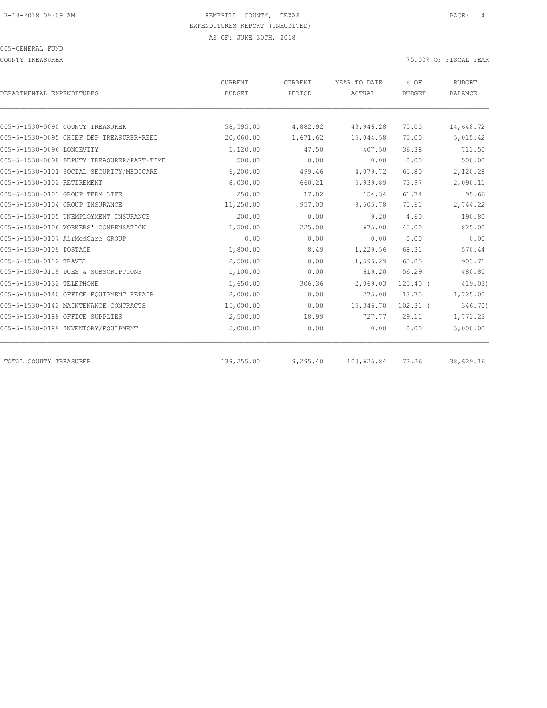COUNTY TREASURER 75.00% OF FISCAL YEAR

| DEPARTMENTAL EXPENDITURES                  | CURRENT<br><b>BUDGET</b> | <b>CURRENT</b><br>PERIOD | YEAR TO DATE<br>ACTUAL | % OF<br><b>BUDGET</b> | <b>BUDGET</b><br><b>BALANCE</b> |
|--------------------------------------------|--------------------------|--------------------------|------------------------|-----------------------|---------------------------------|
|                                            |                          |                          |                        |                       |                                 |
| 005-5-1530-0090 COUNTY TREASURER           | 58,595.00                | 4,882.92                 | 43,946.28              | 75.00                 | 14,648.72                       |
| 005-5-1530-0095 CHIEF DEP TREASURER-REED   | 20,060.00                | 1,671.62                 | 15,044.58              | 75.00                 | 5,015.42                        |
| 005-5-1530-0096 LONGEVITY                  | 1,120.00                 | 47.50                    | 407.50                 | 36.38                 | 712.50                          |
| 005-5-1530-0098 DEPUTY TREASURER/PART-TIME | 500.00                   | 0.00                     | 0.00                   | 0.00                  | 500.00                          |
| 005-5-1530-0101 SOCIAL SECURITY/MEDICARE   | 6,200.00                 | 499.46                   | 4,079.72               | 65.80                 | 2,120.28                        |
| 005-5-1530-0102 RETIREMENT                 | 8,030.00                 | 660.21                   | 5,939.89               | 73.97                 | 2,090.11                        |
| 005-5-1530-0103 GROUP TERM LIFE            | 250.00                   | 17.82                    | 154.34                 | 61.74                 | 95.66                           |
| 005-5-1530-0104 GROUP INSURANCE            | 11,250.00                | 957.03                   | 8,505.78               | 75.61                 | 2,744.22                        |
| 005-5-1530-0105 UNEMPLOYMENT INSURANCE     | 200.00                   | 0.00                     | 9.20                   | 4.60                  | 190.80                          |
| 005-5-1530-0106 WORKERS' COMPENSATION      | 1,500.00                 | 225.00                   | 675.00                 | 45.00                 | 825.00                          |
| 005-5-1530-0107 AirMedCare GROUP           | 0.00                     | 0.00                     | 0.00                   | 0.00                  | 0.00                            |
| 005-5-1530-0109 POSTAGE                    | 1,800.00                 | 8.49                     | 1,229.56               | 68.31                 | 570.44                          |
| 005-5-1530-0112 TRAVEL                     | 2,500.00                 | 0.00                     | 1,596.29               | 63.85                 | 903.71                          |
| 005-5-1530-0119 DUES & SUBSCRIPTIONS       | 1,100.00                 | 0.00                     | 619.20                 | 56.29                 | 480.80                          |
| 005-5-1530-0132 TELEPHONE                  | 1,650.00                 | 306.36                   | 2,069.03               | $125.40$ (            | 419.03)                         |
| 005-5-1530-0140 OFFICE EOUIPMENT REPAIR    | 2,000.00                 | 0.00                     | 275.00                 | 13.75                 | 1,725.00                        |
| 005-5-1530-0142 MAINTENANCE CONTRACTS      | 15,000.00                | 0.00                     | 15,346.70              | $102.31$ (            | 346.70)                         |
| 005-5-1530-0188 OFFICE SUPPLIES            | 2,500.00                 | 18.99                    | 727.77                 | 29.11                 | 1,772.23                        |
| 005-5-1530-0189 INVENTORY/EQUIPMENT        | 5,000.00                 | 0.00                     | 0.00                   | 0.00                  | 5,000.00                        |
| TOTAL COUNTY TREASURER                     | 139,255.00               | 9,295.40                 | 100,625.84             | 72.26                 | 38,629.16                       |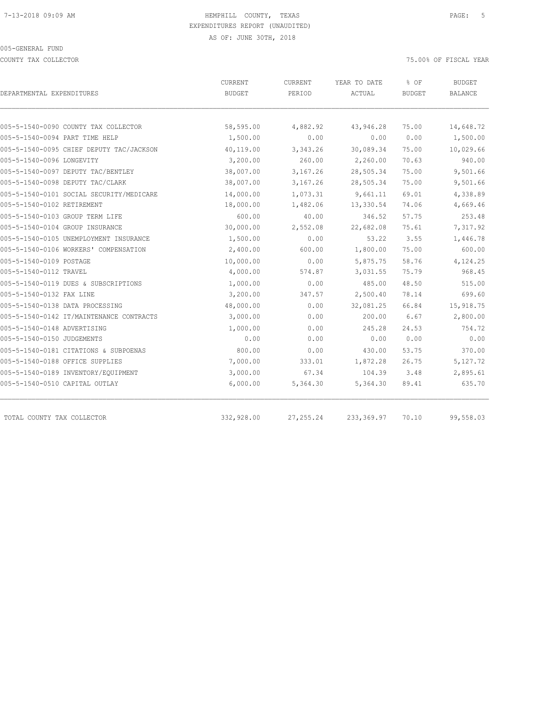COUNTY TAX COLLECTOR 75.00% OF FISCAL YEAR

| DEPARTMENTAL EXPENDITURES                | CURRENT<br><b>BUDGET</b> | <b>CURRENT</b><br>PERIOD | YEAR TO DATE<br>ACTUAL | $8$ OF<br><b>BUDGET</b> | <b>BUDGET</b><br><b>BALANCE</b> |
|------------------------------------------|--------------------------|--------------------------|------------------------|-------------------------|---------------------------------|
| 005-5-1540-0090 COUNTY TAX COLLECTOR     | 58,595.00                | 4,882.92                 | 43,946.28              | 75.00                   | 14,648.72                       |
| 005-5-1540-0094 PART TIME HELP           | 1,500.00                 | 0.00                     | 0.00                   | 0.00                    | 1,500.00                        |
| 005-5-1540-0095 CHIEF DEPUTY TAC/JACKSON | 40,119.00                | 3,343.26                 | 30,089.34              | 75.00                   | 10,029.66                       |
| 005-5-1540-0096 LONGEVITY                | 3,200.00                 | 260.00                   | 2,260.00               | 70.63                   | 940.00                          |
| 005-5-1540-0097 DEPUTY TAC/BENTLEY       | 38,007.00                | 3,167.26                 | 28,505.34              | 75.00                   | 9,501.66                        |
| 005-5-1540-0098 DEPUTY TAC/CLARK         | 38,007.00                | 3,167.26                 | 28,505.34              | 75.00                   | 9,501.66                        |
| 005-5-1540-0101 SOCIAL SECURITY/MEDICARE | 14,000.00                | 1,073.31                 | 9,661.11               | 69.01                   | 4,338.89                        |
| 005-5-1540-0102 RETIREMENT               | 18,000.00                | 1,482.06                 | 13,330.54              | 74.06                   | 4,669.46                        |
| 005-5-1540-0103 GROUP TERM LIFE          | 600.00                   | 40.00                    | 346.52                 | 57.75                   | 253.48                          |
| 005-5-1540-0104 GROUP INSURANCE          | 30,000.00                | 2,552.08                 | 22,682.08              | 75.61                   | 7,317.92                        |
| 005-5-1540-0105 UNEMPLOYMENT INSURANCE   | 1,500.00                 | 0.00                     | 53.22                  | 3.55                    | 1,446.78                        |
| 005-5-1540-0106 WORKERS' COMPENSATION    | 2,400.00                 | 600.00                   | 1,800.00               | 75.00                   | 600.00                          |
| 005-5-1540-0109 POSTAGE                  | 10,000.00                | 0.00                     | 5,875.75               | 58.76                   | 4,124.25                        |
| 005-5-1540-0112 TRAVEL                   | 4,000.00                 | 574.87                   | 3,031.55               | 75.79                   | 968.45                          |
| 005-5-1540-0119 DUES & SUBSCRIPTIONS     | 1,000.00                 | 0.00                     | 485.00                 | 48.50                   | 515.00                          |
| 005-5-1540-0132 FAX LINE                 | 3,200.00                 | 347.57                   | 2,500.40               | 78.14                   | 699.60                          |
| 005-5-1540-0138 DATA PROCESSING          | 48,000.00                | 0.00                     | 32,081.25              | 66.84                   | 15,918.75                       |
| 005-5-1540-0142 IT/MAINTENANCE CONTRACTS | 3,000.00                 | 0.00                     | 200.00                 | 6.67                    | 2,800.00                        |
| 005-5-1540-0148 ADVERTISING              | 1,000.00                 | 0.00                     | 245.28                 | 24.53                   | 754.72                          |
| 005-5-1540-0150 JUDGEMENTS               | 0.00                     | 0.00                     | 0.00                   | 0.00                    | 0.00                            |
| 005-5-1540-0181 CITATIONS & SUBPOENAS    | 800.00                   | 0.00                     | 430.00                 | 53.75                   | 370.00                          |
| 005-5-1540-0188 OFFICE SUPPLIES          | 7,000.00                 | 333.01                   | 1,872.28               | 26.75                   | 5,127.72                        |
| 005-5-1540-0189 INVENTORY/EQUIPMENT      | 3,000.00                 | 67.34                    | 104.39                 | 3.48                    | 2,895.61                        |
| 005-5-1540-0510 CAPITAL OUTLAY           | 6,000.00                 | 5,364.30                 | 5,364.30               | 89.41                   | 635.70                          |
| TOTAL COUNTY TAX COLLECTOR               | 332,928.00               | 27, 255.24               | 233, 369.97            | 70.10                   | 99,558.03                       |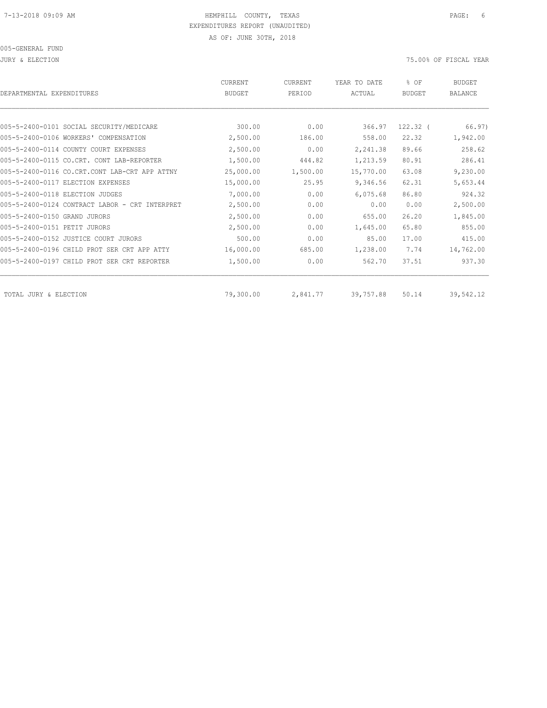JURY & ELECTION 75.00% OF FISCAL YEAR

| DEPARTMENTAL EXPENDITURES                      | CURRENT<br><b>BUDGET</b> | CURRENT<br>PERIOD | YEAR TO DATE<br>ACTUAL | % OF<br><b>BUDGET</b> | <b>BUDGET</b><br><b>BALANCE</b> |
|------------------------------------------------|--------------------------|-------------------|------------------------|-----------------------|---------------------------------|
|                                                |                          |                   |                        |                       |                                 |
| 005-5-2400-0101 SOCIAL SECURITY/MEDICARE       | 300.00                   | 0.00              | 366.97                 | $122.32$ $($          | 66.97)                          |
| 005-5-2400-0106 WORKERS' COMPENSATION          | 2,500.00                 | 186.00            | 558.00                 | 22.32                 | 1,942.00                        |
| 005-5-2400-0114 COUNTY COURT EXPENSES          | 2,500.00                 | 0.00              | 2,241.38               | 89.66                 | 258.62                          |
| 005-5-2400-0115 CO.CRT. CONT LAB-REPORTER      | 1,500.00                 | 444.82            | 1,213.59               | 80.91                 | 286.41                          |
| 005-5-2400-0116 CO.CRT.CONT LAB-CRT APP ATTNY  | 25,000.00                | 1,500.00          | 15,770.00              | 63.08                 | 9,230.00                        |
| 005-5-2400-0117 ELECTION EXPENSES              | 15,000.00                | 25.95             | 9,346.56               | 62.31                 | 5,653.44                        |
| 005-5-2400-0118 ELECTION JUDGES                | 7,000.00                 | 0.00              | 6,075.68               | 86.80                 | 924.32                          |
| 005-5-2400-0124 CONTRACT LABOR - CRT INTERPRET | 2,500.00                 | 0.00              | 0.00                   | 0.00                  | 2,500.00                        |
| 005-5-2400-0150 GRAND JURORS                   | 2,500.00                 | 0.00              | 655.00                 | 26.20                 | 1,845.00                        |
| 005-5-2400-0151 PETIT JURORS                   | 2,500.00                 | 0.00              | 1,645.00               | 65.80                 | 855.00                          |
| 005-5-2400-0152 JUSTICE COURT JURORS           | 500.00                   | 0.00              | 85.00                  | 17.00                 | 415.00                          |
| 005-5-2400-0196 CHILD PROT SER CRT APP ATTY    | 16,000.00                | 685.00            | 1,238.00               | 7.74                  | 14,762.00                       |
| 005-5-2400-0197 CHILD PROT SER CRT REPORTER    | 1,500.00                 | 0.00              | 562.70                 | 37.51                 | 937.30                          |
| TOTAL JURY & ELECTION                          | 79,300.00                | 2,841.77          | 39,757.88              | 50.14                 | 39,542.12                       |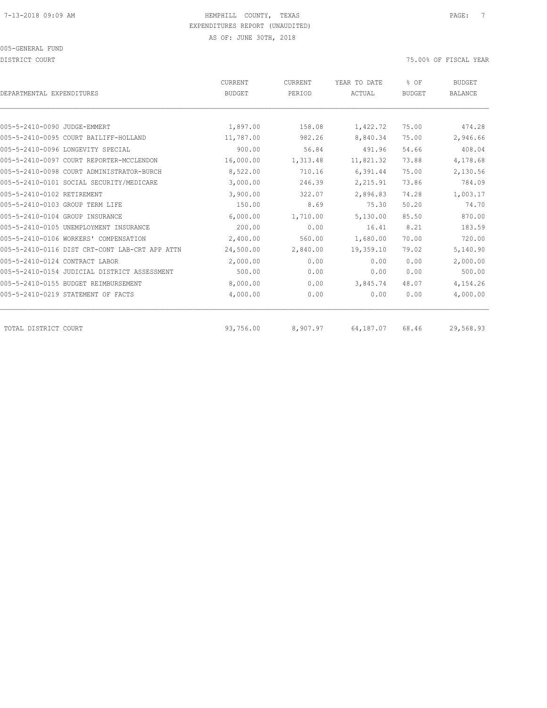DISTRICT COURT 75.00% OF FISCAL YEAR

| DEPARTMENTAL EXPENDITURES                      | <b>CURRENT</b><br><b>BUDGET</b> | <b>CURRENT</b><br>PERIOD | YEAR TO DATE<br>ACTUAL | % OF<br><b>BUDGET</b> | <b>BUDGET</b><br><b>BALANCE</b> |
|------------------------------------------------|---------------------------------|--------------------------|------------------------|-----------------------|---------------------------------|
|                                                |                                 |                          |                        |                       |                                 |
| 005-5-2410-0090 JUDGE-EMMERT                   | 1,897.00                        | 158.08                   | 1,422.72               | 75.00                 | 474.28                          |
| 005-5-2410-0095 COURT BAILIFF-HOLLAND          | 11,787.00                       | 982.26                   | 8,840.34               | 75.00                 | 2,946.66                        |
| 005-5-2410-0096 LONGEVITY SPECIAL              | 900.00                          | 56.84                    | 491.96                 | 54.66                 | 408.04                          |
| 005-5-2410-0097 COURT REPORTER-MCCLENDON       | 16,000.00                       | 1,313.48                 | 11,821.32              | 73.88                 | 4,178.68                        |
| 005-5-2410-0098 COURT ADMINISTRATOR-BURCH      | 8,522.00                        | 710.16                   | 6,391.44               | 75.00                 | 2,130.56                        |
| 005-5-2410-0101 SOCIAL SECURITY/MEDICARE       | 3,000.00                        | 246.39                   | 2,215.91               | 73.86                 | 784.09                          |
| 005-5-2410-0102 RETIREMENT                     | 3,900.00                        | 322.07                   | 2,896.83               | 74.28                 | 1,003.17                        |
| 005-5-2410-0103 GROUP TERM LIFE                | 150.00                          | 8.69                     | 75.30                  | 50.20                 | 74.70                           |
| 005-5-2410-0104 GROUP INSURANCE                | 6,000.00                        | 1,710.00                 | 5,130.00               | 85.50                 | 870.00                          |
| 005-5-2410-0105 UNEMPLOYMENT INSURANCE         | 200.00                          | 0.00                     | 16.41                  | 8.21                  | 183.59                          |
| 005-5-2410-0106 WORKERS' COMPENSATION          | 2,400.00                        | 560.00                   | 1,680.00               | 70.00                 | 720.00                          |
| 005-5-2410-0116 DIST CRT-CONT LAB-CRT APP ATTN | 24,500.00                       | 2,840.00                 | 19,359.10              | 79.02                 | 5,140.90                        |
| 005-5-2410-0124 CONTRACT LABOR                 | 2,000.00                        | 0.00                     | 0.00                   | 0.00                  | 2,000.00                        |
| 005-5-2410-0154 JUDICIAL DISTRICT ASSESSMENT   | 500.00                          | 0.00                     | 0.00                   | 0.00                  | 500.00                          |
| 005-5-2410-0155 BUDGET REIMBURSEMENT           | 8,000.00                        | 0.00                     | 3,845.74               | 48.07                 | 4,154.26                        |
| 005-5-2410-0219 STATEMENT OF FACTS             | 4,000.00                        | 0.00                     | 0.00                   | 0.00                  | 4,000.00                        |
| TOTAL DISTRICT COURT                           | 93,756.00                       | 8,907.97                 | 64,187.07              | 68.46                 | 29,568.93                       |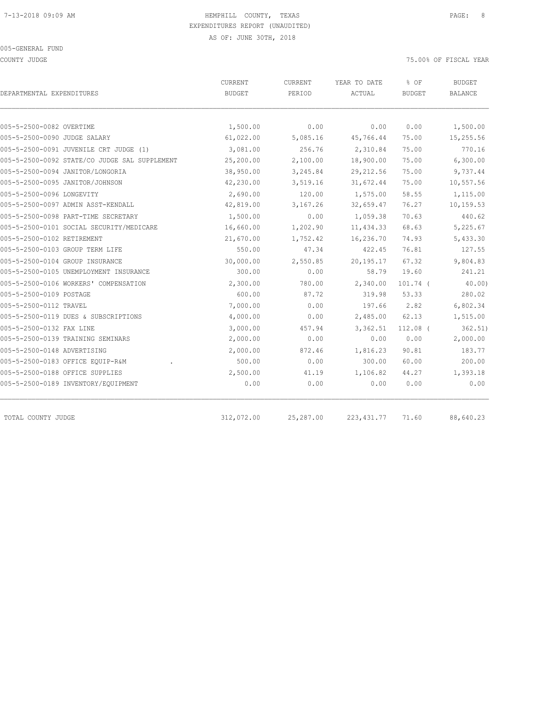COUNTY JUDGE TISCAL YEAR AND THE SERVICE OF THE SERVICE OF THE SERVICE OF SERVICE OF TISCAL YEAR

|                                               | CURRENT       | CURRENT   | YEAR TO DATE | % OF          | <b>BUDGET</b><br><b>BALANCE</b> |
|-----------------------------------------------|---------------|-----------|--------------|---------------|---------------------------------|
| DEPARTMENTAL EXPENDITURES                     | <b>BUDGET</b> | PERIOD    | ACTUAL       | <b>BUDGET</b> |                                 |
| 005-5-2500-0082 OVERTIME                      | 1,500.00      | 0.00      | 0.00         | 0.00          | 1,500.00                        |
| 005-5-2500-0090 JUDGE SALARY                  | 61,022.00     | 5,085.16  | 45,766.44    | 75.00         | 15,255.56                       |
| 005-5-2500-0091 JUVENILE CRT JUDGE (1)        | 3,081.00      | 256.76    | 2,310.84     | 75.00         | 770.16                          |
| 005-5-2500-0092 STATE/CO JUDGE SAL SUPPLEMENT | 25,200.00     | 2,100.00  | 18,900.00    | 75.00         | 6,300.00                        |
| 005-5-2500-0094 JANITOR/LONGORIA              | 38,950.00     | 3,245.84  | 29, 212.56   | 75.00         | 9,737.44                        |
| 005-5-2500-0095 JANITOR/JOHNSON               | 42,230.00     | 3,519.16  | 31,672.44    | 75.00         | 10,557.56                       |
| 005-5-2500-0096 LONGEVITY                     | 2,690.00      | 120.00    | 1,575.00     | 58.55         | 1,115.00                        |
| 005-5-2500-0097 ADMIN ASST-KENDALL            | 42,819.00     | 3,167.26  | 32,659.47    | 76.27         | 10,159.53                       |
| 005-5-2500-0098 PART-TIME SECRETARY           | 1,500.00      | 0.00      | 1,059.38     | 70.63         | 440.62                          |
| 005-5-2500-0101 SOCIAL SECURITY/MEDICARE      | 16,660.00     | 1,202.90  | 11, 434.33   | 68.63         | 5,225.67                        |
| 005-5-2500-0102 RETIREMENT                    | 21,670.00     | 1,752.42  | 16,236.70    | 74.93         | 5,433.30                        |
| 005-5-2500-0103 GROUP TERM LIFE               | 550.00        | 47.34     | 422.45       | 76.81         | 127.55                          |
| 005-5-2500-0104 GROUP INSURANCE               | 30,000.00     | 2,550.85  | 20, 195. 17  | 67.32         | 9,804.83                        |
| 005-5-2500-0105 UNEMPLOYMENT INSURANCE        | 300.00        | 0.00      | 58.79        | 19.60         | 241.21                          |
| 005-5-2500-0106 WORKERS' COMPENSATION         | 2,300.00      | 780.00    | 2,340.00     | $101.74$ (    | 40.00)                          |
| 005-5-2500-0109 POSTAGE                       | 600.00        | 87.72     | 319.98       | 53.33         | 280.02                          |
| 005-5-2500-0112 TRAVEL                        | 7,000.00      | 0.00      | 197.66       | 2.82          | 6,802.34                        |
| 005-5-2500-0119 DUES & SUBSCRIPTIONS          | 4,000.00      | 0.00      | 2,485.00     | 62.13         | 1,515.00                        |
| 005-5-2500-0132 FAX LINE                      | 3,000.00      | 457.94    | 3,362.51     | $112.08$ (    | 362.51)                         |
| 005-5-2500-0139 TRAINING SEMINARS             | 2,000.00      | 0.00      | 0.00         | 0.00          | 2,000.00                        |
| 005-5-2500-0148 ADVERTISING                   | 2,000.00      | 872.46    | 1,816.23     | 90.81         | 183.77                          |
| 005-5-2500-0183 OFFICE EQUIP-R&M              | 500.00        | 0.00      | 300.00       | 60.00         | 200.00                          |
| 005-5-2500-0188 OFFICE SUPPLIES               | 2,500.00      | 41.19     | 1,106.82     | 44.27         | 1,393.18                        |
| 005-5-2500-0189 INVENTORY/EQUIPMENT           | 0.00          | 0.00      | 0.00         | 0.00          | 0.00                            |
|                                               |               |           |              |               |                                 |
| TOTAL COUNTY JUDGE                            | 312,072.00    | 25,287.00 | 223, 431.77  | 71.60         | 88,640.23                       |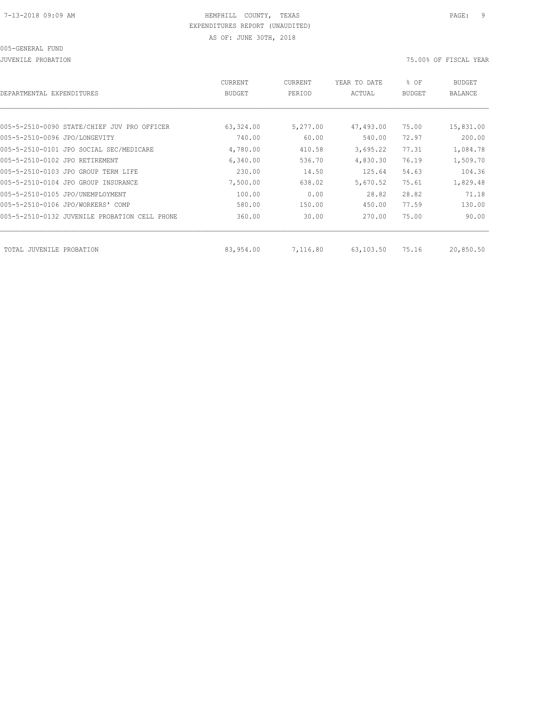| DEPARTMENTAL EXPENDITURES                     | <b>CURRENT</b><br><b>BUDGET</b> | CURRENT<br>PERIOD | YEAR TO DATE<br>ACTUAL | % OF<br><b>BUDGET</b> | <b>BUDGET</b><br><b>BALANCE</b> |
|-----------------------------------------------|---------------------------------|-------------------|------------------------|-----------------------|---------------------------------|
|                                               |                                 |                   |                        |                       |                                 |
| 005-5-2510-0090 STATE/CHIEF JUV PRO OFFICER   | 63,324.00                       | 5,277.00          | 47,493.00              | 75.00                 | 15,831.00                       |
| 005-5-2510-0096 JPO/LONGEVITY                 | 740.00                          | 60.00             | 540.00                 | 72.97                 | 200.00                          |
| 005-5-2510-0101 JPO SOCIAL SEC/MEDICARE       | 4,780.00                        | 410.58            | 3,695.22               | 77.31                 | 1,084.78                        |
| 005-5-2510-0102 JPO RETIREMENT                | 6,340.00                        | 536.70            | 4,830.30               | 76.19                 | 1,509.70                        |
| 005-5-2510-0103 JPO GROUP TERM LIFE           | 230.00                          | 14.50             | 125.64                 | 54.63                 | 104.36                          |
| 005-5-2510-0104 JPO GROUP INSURANCE           | 7,500.00                        | 638.02            | 5,670.52               | 75.61                 | 1,829.48                        |
| 005-5-2510-0105 JPO/UNEMPLOYMENT              | 100.00                          | 0.00              | 28.82                  | 28.82                 | 71.18                           |
| 005-5-2510-0106 JPO/WORKERS' COMP             | 580.00                          | 150.00            | 450.00                 | 77.59                 | 130.00                          |
| 005-5-2510-0132 JUVENILE PROBATION CELL PHONE | 360.00                          | 30.00             | 270.00                 | 75.00                 | 90.00                           |
|                                               |                                 |                   |                        |                       |                                 |
| TOTAL JUVENILE PROBATION                      | 83,954.00                       | 7,116.80          | 63,103.50              | 75.16                 | 20,850.50                       |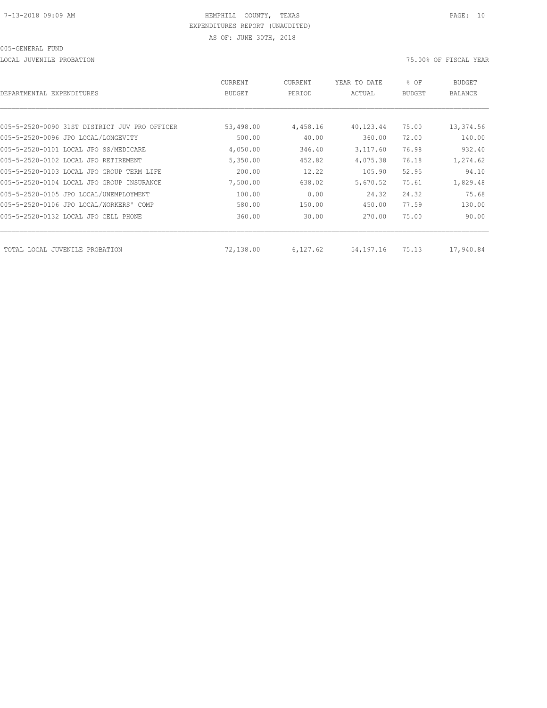LOCAL JUVENILE PROBATION 75.00% OF FISCAL YEAR

| DEPARTMENTAL EXPENDITURES                     | <b>CURRENT</b><br><b>BUDGET</b> | CURRENT<br>PERIOD | YEAR TO DATE<br>ACTUAL | % OF<br><b>BUDGET</b> | BUDGET<br><b>BALANCE</b> |
|-----------------------------------------------|---------------------------------|-------------------|------------------------|-----------------------|--------------------------|
|                                               |                                 |                   |                        |                       |                          |
| 005-5-2520-0090 31ST DISTRICT JUV PRO OFFICER | 53,498.00                       | 4,458.16          | 40,123.44              | 75.00                 | 13,374.56                |
| 005-5-2520-0096 JPO LOCAL/LONGEVITY           | 500.00                          | 40.00             | 360.00                 | 72.00                 | 140.00                   |
| 005-5-2520-0101 LOCAL JPO SS/MEDICARE         | 4,050.00                        | 346.40            | 3,117.60               | 76.98                 | 932.40                   |
| 005-5-2520-0102 LOCAL JPO RETIREMENT          | 5,350.00                        | 452.82            | 4,075.38               | 76.18                 | 1,274.62                 |
| 005-5-2520-0103 LOCAL JPO GROUP TERM LIFE     | 200.00                          | 12.22             | 105.90                 | 52.95                 | 94.10                    |
| 005-5-2520-0104 LOCAL JPO GROUP INSURANCE     | 7,500.00                        | 638.02            | 5,670.52               | 75.61                 | 1,829.48                 |
| 005-5-2520-0105 JPO LOCAL/UNEMPLOYMENT        | 100.00                          | 0.00              | 24.32                  | 24.32                 | 75.68                    |
| 005-5-2520-0106 JPO LOCAL/WORKERS' COMP       | 580.00                          | 150.00            | 450.00                 | 77.59                 | 130.00                   |
| 005-5-2520-0132 LOCAL JPO CELL PHONE          | 360.00                          | 30.00             | 270.00                 | 75.00                 | 90.00                    |
|                                               |                                 |                   |                        |                       |                          |
| TOTAL LOCAL JUVENILE PROBATION                | 72,138.00                       | 6,127.62          | 54,197.16              | 75.13                 | 17,940.84                |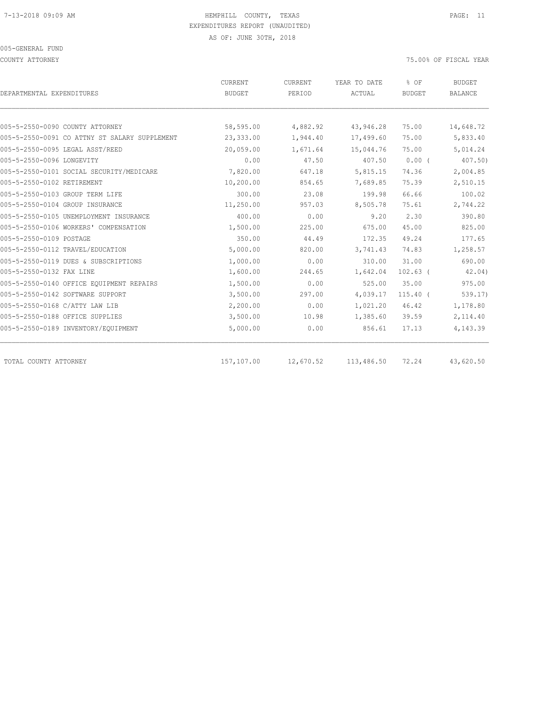COUNTY ATTORNEY 75.00% OF FISCAL YEAR

|                                               | CURRENT<br>CURRENT |           | YEAR TO DATE | % OF          | <b>BUDGET</b>  |
|-----------------------------------------------|--------------------|-----------|--------------|---------------|----------------|
| DEPARTMENTAL EXPENDITURES                     | <b>BUDGET</b>      | PERIOD    | ACTUAL       | <b>BUDGET</b> | <b>BALANCE</b> |
|                                               |                    |           |              |               |                |
| 005-5-2550-0090 COUNTY ATTORNEY               | 58,595.00          | 4,882.92  | 43,946.28    | 75.00         | 14,648.72      |
| 005-5-2550-0091 CO ATTNY ST SALARY SUPPLEMENT | 23,333.00          | 1,944.40  | 17,499.60    | 75.00         | 5,833.40       |
| 005-5-2550-0095 LEGAL ASST/REED               | 20,059.00          | 1,671.64  | 15,044.76    | 75.00         | 5,014.24       |
| 005-5-2550-0096 LONGEVITY                     | 0.00               | 47.50     | 407.50       | $0.00$ (      | 407.50         |
| 005-5-2550-0101 SOCIAL SECURITY/MEDICARE      | 7,820.00           | 647.18    | 5,815.15     | 74.36         | 2,004.85       |
| 005-5-2550-0102 RETIREMENT                    | 10,200.00          | 854.65    | 7,689.85     | 75.39         | 2,510.15       |
| 005-5-2550-0103 GROUP TERM LIFE               | 300.00             | 23.08     | 199.98       | 66.66         | 100.02         |
| 005-5-2550-0104 GROUP INSURANCE               | 11,250.00          | 957.03    | 8,505.78     | 75.61         | 2,744.22       |
| 005-5-2550-0105 UNEMPLOYMENT INSURANCE        | 400.00             | 0.00      | 9.20         | 2.30          | 390.80         |
| 005-5-2550-0106 WORKERS' COMPENSATION         | 1,500.00           | 225.00    | 675.00       | 45.00         | 825.00         |
| 005-5-2550-0109 POSTAGE                       | 350.00             | 44.49     | 172.35       | 49.24         | 177.65         |
| 005-5-2550-0112 TRAVEL/EDUCATION              | 5,000.00           | 820.00    | 3,741.43     | 74.83         | 1,258.57       |
| 005-5-2550-0119 DUES & SUBSCRIPTIONS          | 1,000.00           | 0.00      | 310.00       | 31.00         | 690.00         |
| 005-5-2550-0132 FAX LINE                      | 1,600.00           | 244.65    | 1,642.04     | $102.63$ (    | 42.04)         |
| 005-5-2550-0140 OFFICE EQUIPMENT REPAIRS      | 1,500.00           | 0.00      | 525.00       | 35.00         | 975.00         |
| 005-5-2550-0142 SOFTWARE SUPPORT              | 3,500.00           | 297.00    | 4,039.17     | $115.40$ (    | 539.17)        |
| 005-5-2550-0168 C/ATTY LAW LIB                | 2,200.00           | 0.00      | 1,021.20     | 46.42         | 1,178.80       |
| 005-5-2550-0188 OFFICE SUPPLIES               | 3,500.00           | 10.98     | 1,385.60     | 39.59         | 2,114.40       |
| 005-5-2550-0189 INVENTORY/EQUIPMENT           | 5,000.00           | 0.00      | 856.61       | 17.13         | 4,143.39       |
| TOTAL COUNTY ATTORNEY                         | 157,107.00         | 12,670.52 | 113,486.50   | 72.24         | 43,620.50      |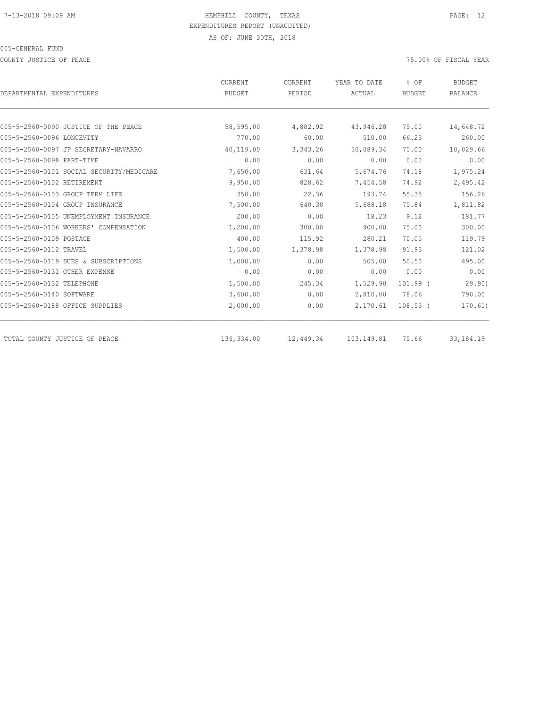COUNTY JUSTICE OF PEACE THE SERVICE OF PEACE AND TO A SERVICE THE SERVICE OF FISCAL YEAR OF FISCAL YEAR

|                                          | CURRENT       | CURRENT   | YEAR TO DATE | % OF<br><b>BUDGET</b> | <b>BUDGET</b><br><b>BALANCE</b> |
|------------------------------------------|---------------|-----------|--------------|-----------------------|---------------------------------|
| DEPARTMENTAL EXPENDITURES                | <b>BUDGET</b> | PERIOD    | ACTUAL       |                       |                                 |
|                                          |               |           |              |                       |                                 |
| 005-5-2560-0090 JUSTICE OF THE PEACE     | 58,595.00     | 4,882.92  | 43,946.28    | 75.00                 | 14,648.72                       |
| 005-5-2560-0096 LONGEVITY                | 770.00        | 60.00     | 510.00       | 66.23                 | 260.00                          |
| 005-5-2560-0097 JP SECRETARY-NAVARRO     | 40,119.00     | 3,343.26  | 30,089.34    | 75.00                 | 10,029.66                       |
| 005-5-2560-0098 PART-TIME                | 0.00          | 0.00      | 0.00         | 0.00                  | 0.00                            |
| 005-5-2560-0101 SOCIAL SECURITY/MEDICARE | 7,650.00      | 631.64    | 5,674.76     | 74.18                 | 1,975.24                        |
| 005-5-2560-0102 RETIREMENT               | 9,950.00      | 828.62    | 7,454.58     | 74.92                 | 2,495.42                        |
| 005-5-2560-0103 GROUP TERM LIFE          | 350.00        | 22.36     | 193.74       | 55.35                 | 156.26                          |
| 005-5-2560-0104 GROUP INSURANCE          | 7,500.00      | 640.30    | 5,688.18     | 75.84                 | 1,811.82                        |
| 005-5-2560-0105 UNEMPLOYMENT INSURANCE   | 200.00        | 0.00      | 18.23        | 9.12                  | 181.77                          |
| 005-5-2560-0106 WORKERS' COMPENSATION    | 1,200.00      | 300.00    | 900.00       | 75.00                 | 300.00                          |
| 005-5-2560-0109 POSTAGE                  | 400.00        | 115.92    | 280.21       | 70.05                 | 119.79                          |
| 005-5-2560-0112 TRAVEL                   | 1,500.00      | 1,378.98  | 1,378.98     | 91.93                 | 121.02                          |
| 005-5-2560-0119 DUES & SUBSCRIPTIONS     | 1,000.00      | 0.00      | 505.00       | 50.50                 | 495.00                          |
| 005-5-2560-0131 OTHER EXPENSE            | 0.00          | 0.00      | 0.00         | 0.00                  | 0.00                            |
| 005-5-2560-0132 TELEPHONE                | 1,500.00      | 245.34    | 1,529.90     | $101.99$ (            | 29.90)                          |
| 005-5-2560-0140 SOFTWARE                 | 3,600.00      | 0.00      | 2,810.00     | 78.06                 | 790.00                          |
| 005-5-2560-0188 OFFICE SUPPLIES          | 2,000.00      | 0.00      | 2,170.61     | $108.53$ (            | 170.61)                         |
| TOTAL COUNTY JUSTICE OF PEACE            | 136,334.00    | 12,449.34 | 103,149.81   | 75.66                 | 33, 184. 19                     |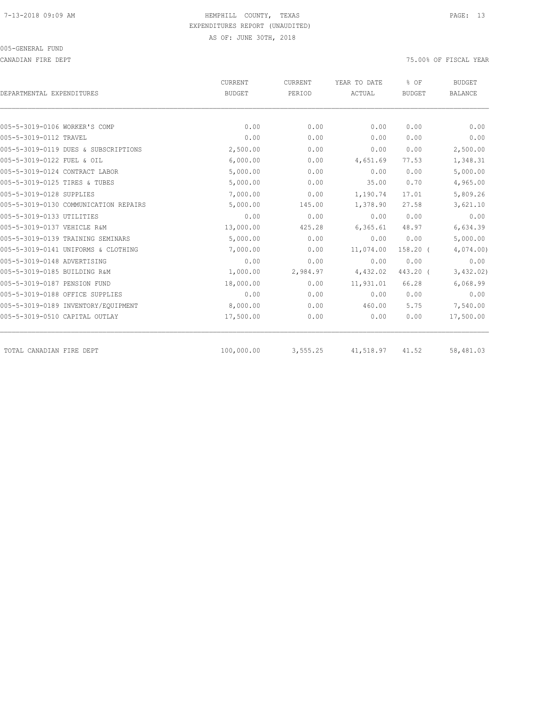CANADIAN FIRE DEPT 75.00% OF FISCAL YEAR

| DEPARTMENTAL EXPENDITURES             | <b>CURRENT</b><br><b>BUDGET</b> | CURRENT<br>PERIOD | YEAR TO DATE<br>ACTUAL | % OF<br><b>BUDGET</b> | <b>BUDGET</b><br><b>BALANCE</b> |
|---------------------------------------|---------------------------------|-------------------|------------------------|-----------------------|---------------------------------|
|                                       |                                 |                   |                        |                       |                                 |
| 005-5-3019-0106 WORKER'S COMP         | 0.00                            | 0.00              | 0.00                   | 0.00                  | 0.00                            |
| 005-5-3019-0112 TRAVEL                | 0.00                            | 0.00              | 0.00                   | 0.00                  | 0.00                            |
| 005-5-3019-0119 DUES & SUBSCRIPTIONS  | 2,500.00                        | 0.00              | 0.00                   | 0.00                  | 2,500.00                        |
| 005-5-3019-0122 FUEL & OIL            | 6,000.00                        | 0.00              | 4,651.69               | 77.53                 | 1,348.31                        |
| 005-5-3019-0124 CONTRACT LABOR        | 5,000.00                        | 0.00              | 0.00                   | 0.00                  | 5,000.00                        |
| 005-5-3019-0125 TIRES & TUBES         | 5,000.00                        | 0.00              | 35.00                  | 0.70                  | 4,965.00                        |
| 005-5-3019-0128 SUPPLIES              | 7,000.00                        | 0.00              | 1,190.74               | 17.01                 | 5,809.26                        |
| 005-5-3019-0130 COMMUNICATION REPAIRS | 5,000.00                        | 145.00            | 1,378.90               | 27.58                 | 3,621.10                        |
| 005-5-3019-0133 UTILITIES             | 0.00                            | 0.00              | 0.00                   | 0.00                  | 0.00                            |
| 005-5-3019-0137 VEHICLE R&M           | 13,000.00                       | 425.28            | 6, 365.61              | 48.97                 | 6,634.39                        |
| 005-5-3019-0139 TRAINING SEMINARS     | 5,000.00                        | 0.00              | 0.00                   | 0.00                  | 5,000.00                        |
| 005-5-3019-0141 UNIFORMS & CLOTHING   | 7,000.00                        | 0.00              | 11,074.00              | $158.20$ (            | 4,074.00                        |
| 005-5-3019-0148 ADVERTISING           | 0.00                            | 0.00              | 0.00                   | 0.00                  | 0.00                            |
| 005-5-3019-0185 BUILDING R&M          | 1,000.00                        | 2,984.97          | 4,432.02               | 443.20 (              | 3,432.02)                       |
| 005-5-3019-0187 PENSION FUND          | 18,000.00                       | 0.00              | 11,931.01              | 66.28                 | 6,068.99                        |
| 005-5-3019-0188 OFFICE SUPPLIES       | 0.00                            | 0.00              | 0.00                   | 0.00                  | 0.00                            |
| 005-5-3019-0189 INVENTORY/EQUIPMENT   | 8,000.00                        | 0.00              | 460.00                 | 5.75                  | 7,540.00                        |
| 005-5-3019-0510 CAPITAL OUTLAY        | 17,500.00                       | 0.00              | 0.00                   | 0.00                  | 17,500.00                       |
| TOTAL CANADIAN FIRE DEPT              | 100,000.00                      | 3,555.25          | 41,518.97              | 41.52                 | 58,481.03                       |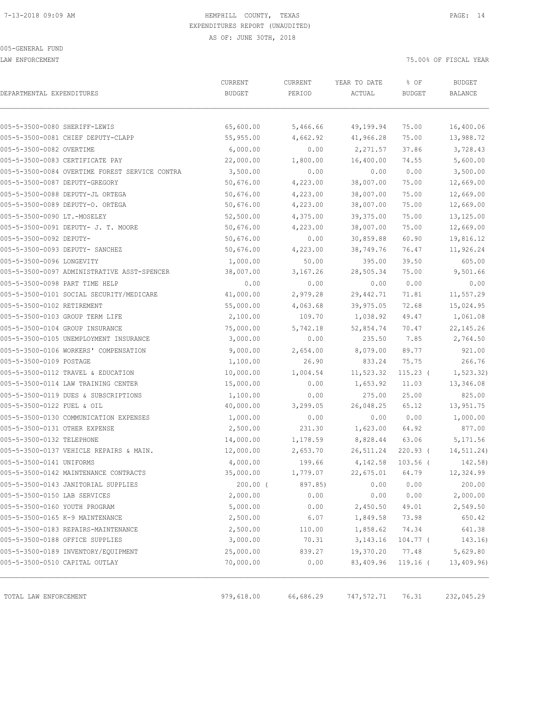LAW ENFORCEMENT 75.00% OF FISCAL YEAR

| DEPARTMENTAL EXPENDITURES                                             | CURRENT<br><b>BUDGET</b> | CURRENT<br>PERIOD | YEAR TO DATE<br>ACTUAL | % OF<br><b>BUDGET</b> | <b>BUDGET</b><br>BALANCE |
|-----------------------------------------------------------------------|--------------------------|-------------------|------------------------|-----------------------|--------------------------|
| 005-5-3500-0080 SHERIFF-LEWIS                                         | 65,600.00                | 5,466.66          | 49,199.94              | 75.00                 | 16,400.06                |
| 005-5-3500-0081 CHIEF DEPUTY-CLAPP                                    | 55,955.00                | 4,662.92          | 41,966.28              | 75.00                 | 13,988.72                |
| 005-5-3500-0082 OVERTIME                                              | 6,000.00                 | 0.00              | 2,271.57               | 37.86                 | 3,728.43                 |
| 005-5-3500-0083 CERTIFICATE PAY                                       | 22,000.00                | 1,800.00          | 16,400.00              | 74.55                 | 5,600.00                 |
| 005-5-3500-0084 OVERTIME FOREST SERVICE CONTRA                        | 3,500.00                 | 0.00              | 0.00                   | 0.00                  | 3,500.00                 |
| 005-5-3500-0087 DEPUTY-GREGORY                                        | 50,676.00                | 4,223.00          | 38,007.00              | 75.00                 | 12,669.00                |
| 005-5-3500-0088 DEPUTY-JL ORTEGA                                      | 50,676.00                | 4,223.00          | 38,007.00              | 75.00                 | 12,669.00                |
| 005-5-3500-0089 DEPUTY-O. ORTEGA                                      | 50,676.00                | 4,223.00          | 38,007.00              | 75.00                 | 12,669.00                |
| 005-5-3500-0090 LT.-MOSELEY                                           | 52,500.00                | 4,375.00          | 39, 375.00             | 75.00                 | 13,125.00                |
| 005-5-3500-0091 DEPUTY- J. T. MOORE                                   | 50,676.00                | 4,223.00          | 38,007.00              | 75.00                 | 12,669.00                |
| 005-5-3500-0092 DEPUTY-                                               | 50,676.00                | 0.00              | 30,859.88              | 60.90                 | 19,816.12                |
| 005-5-3500-0093 DEPUTY- SANCHEZ                                       | 50,676.00                | 4,223.00          | 38,749.76              | 76.47                 | 11,926.24                |
| 005-5-3500-0096 LONGEVITY                                             | 1,000.00                 | 50.00             | 395.00                 | 39.50                 | 605.00                   |
| 005-5-3500-0097 ADMINISTRATIVE ASST-SPENCER                           | 38,007.00                | 3,167.26          | 28,505.34              | 75.00                 | 9,501.66                 |
| 005-5-3500-0098 PART TIME HELP                                        | 0.00                     | 0.00              | 0.00                   | 0.00                  | 0.00                     |
| 005-5-3500-0101 SOCIAL SECURITY/MEDICARE                              | 41,000.00                | 2,979.28          | 29,442.71              | 71.81                 | 11,557.29                |
| 005-5-3500-0102 RETIREMENT                                            | 55,000.00                | 4,063.68          | 39,975.05              | 72.68                 | 15,024.95                |
| 005-5-3500-0103 GROUP TERM LIFE                                       | 2,100.00                 | 109.70            | 1,038.92               | 49.47                 | 1,061.08                 |
| 005-5-3500-0104 GROUP INSURANCE                                       | 75,000.00                | 5,742.18          | 52,854.74              | 70.47                 | 22, 145.26               |
| 005-5-3500-0105 UNEMPLOYMENT INSURANCE                                | 3,000.00                 | 0.00              | 235.50                 | 7.85                  | 2,764.50                 |
| 005-5-3500-0106 WORKERS' COMPENSATION                                 | 9,000.00                 | 2,654.00          | 8,079.00               | 89.77                 | 921.00                   |
| 005-5-3500-0109 POSTAGE                                               | 1,100.00                 | 26.90             | 833.24                 | 75.75                 | 266.76                   |
| 005-5-3500-0112 TRAVEL & EDUCATION                                    | 10,000.00                | 1,004.54          | 11,523.32              | $115.23$ (            | 1, 523.32)               |
| 005-5-3500-0114 LAW TRAINING CENTER                                   | 15,000.00                | 0.00              | 1,653.92               | 11.03                 | 13,346.08                |
| 005-5-3500-0119 DUES & SUBSCRIPTIONS                                  | 1,100.00                 | 0.00              | 275.00                 | 25.00                 | 825.00                   |
| 005-5-3500-0122 FUEL & OIL                                            | 40,000.00                | 3,299.05          | 26,048.25              | 65.12                 | 13,951.75                |
| 005-5-3500-0130 COMMUNICATION EXPENSES                                | 1,000.00                 | 0.00              | 0.00                   | 0.00                  | 1,000.00                 |
| 005-5-3500-0131 OTHER EXPENSE                                         | 2,500.00                 | 231.30            | 1,623.00               | 64.92                 | 877.00                   |
| 005-5-3500-0132 TELEPHONE                                             | 14,000.00                | 1,178.59          | 8,828.44               | 63.06                 | 5,171.56                 |
| 005-5-3500-0137 VEHICLE REPAIRS & MAIN.                               | 12,000.00                | 2,653.70          | 26,511.24              | $220.93$ (            | 14,511.24)               |
| 005-5-3500-0141 UNIFORMS                                              | 4,000.00                 | 199.66            | 4,142.58               | $103.56$ (            | 142.58)                  |
| 005-5-3500-0142 MAINTENANCE CONTRACTS                                 | 35,000.00                | 1,779.07          | 22,675.01              | 64.79                 | 12,324.99                |
| 005-5-3500-0143 JANITORIAL SUPPLIES                                   | $200.00$ (               | 897.85)           | 0.00                   | 0.00                  | 200.00                   |
| 005-5-3500-0150 LAB SERVICES                                          | 2,000.00                 | 0.00              | 0.00                   | 0.00                  | 2,000.00                 |
| 005-5-3500-0160 YOUTH PROGRAM                                         | 5,000.00                 | 0.00              | 2,450.50               | 49.01                 | 2,549.50                 |
| 005-5-3500-0165 K-9 MAINTENANCE                                       | 2,500.00                 | 6.07              | 1,849.58               | 73.98                 | 650.42                   |
| 005-5-3500-0183 REPAIRS-MAINTENANCE                                   | 2,500.00                 | 110.00            | 1,858.62               | 74.34                 | 641.38                   |
| 005-5-3500-0188 OFFICE SUPPLIES                                       | 3,000.00                 | 70.31             | 3, 143. 16             | 104.77 (              | 143.16)                  |
| 005-5-3500-0189 INVENTORY/EQUIPMENT<br>005-5-3500-0510 CAPITAL OUTLAY | 25,000.00<br>70,000.00   | 839.27<br>0.00    | 19,370.20<br>83,409.96 | 77.48<br>$119.16$ (   | 5,629.80<br>13,409.96)   |
|                                                                       |                          |                   |                        |                       |                          |
| TOTAL LAW ENFORCEMENT                                                 | 979,618.00               | 66,686.29         | 747,572.71             | 76.31                 | 232,045.29               |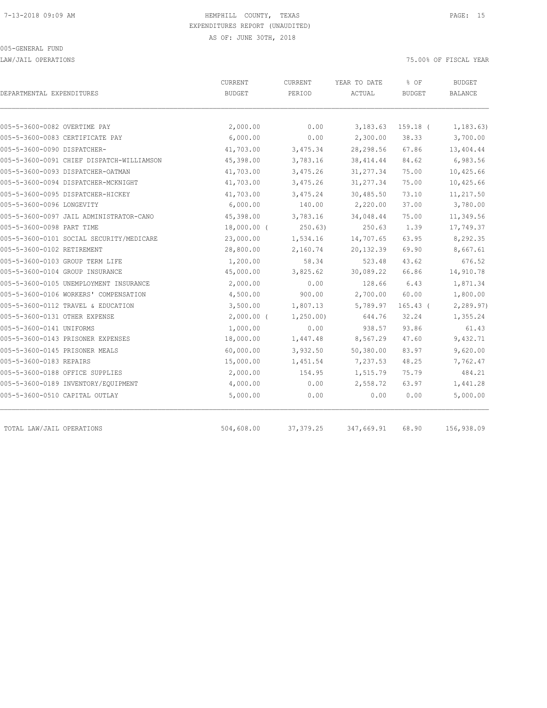LAW/JAIL OPERATIONS 75.00% OF FISCAL YEAR

| DEPARTMENTAL EXPENDITURES       |                                           | <b>CURRENT</b><br><b>BUDGET</b> | CURRENT<br>PERIOD | YEAR TO DATE<br>ACTUAL | % OF<br><b>BUDGET</b> | <b>BUDGET</b><br><b>BALANCE</b> |
|---------------------------------|-------------------------------------------|---------------------------------|-------------------|------------------------|-----------------------|---------------------------------|
| 005-5-3600-0082 OVERTIME PAY    |                                           | 2,000.00                        | 0.00              | 3,183.63               | 159.18 (              | 1, 183, 63)                     |
|                                 | 005-5-3600-0083 CERTIFICATE PAY           | 6,000.00                        | 0.00              | 2,300.00               | 38.33                 | 3,700.00                        |
| 005-5-3600-0090 DISPATCHER-     |                                           | 41,703.00                       | 3,475.34          | 28,298.56              | 67.86                 | 13,404.44                       |
|                                 | 005-5-3600-0091 CHIEF DISPATCH-WILLIAMSON | 45,398.00                       | 3,783.16          | 38, 414.44             | 84.62                 | 6,983.56                        |
|                                 | 005-5-3600-0093 DISPATCHER-OATMAN         | 41,703.00                       | 3,475.26          | 31, 277.34             | 75.00                 | 10,425.66                       |
|                                 | 005-5-3600-0094 DISPATCHER-MCKNIGHT       | 41,703.00                       | 3,475.26          | 31, 277.34             | 75.00                 | 10,425.66                       |
|                                 | 005-5-3600-0095 DISPATCHER-HICKEY         | 41,703.00                       | 3,475.24          | 30,485.50              | 73.10                 | 11,217.50                       |
| 005-5-3600-0096 LONGEVITY       |                                           | 6,000.00                        | 140.00            | 2,220.00               | 37.00                 | 3,780.00                        |
|                                 | 005-5-3600-0097 JAIL ADMINISTRATOR-CANO   | 45,398.00                       | 3,783.16          | 34,048.44              | 75.00                 | 11,349.56                       |
| 005-5-3600-0098 PART TIME       |                                           | 18,000.00 (                     | 250.63)           | 250.63                 | 1.39                  | 17,749.37                       |
|                                 | 005-5-3600-0101 SOCIAL SECURITY/MEDICARE  | 23,000.00                       | 1,534.16          | 14,707.65              | 63.95                 | 8,292.35                        |
| 005-5-3600-0102 RETIREMENT      |                                           | 28,800.00                       | 2,160.74          | 20, 132.39             | 69.90                 | 8,667.61                        |
| 005-5-3600-0103 GROUP TERM LIFE |                                           | 1,200.00                        | 58.34             | 523.48                 | 43.62                 | 676.52                          |
| 005-5-3600-0104 GROUP INSURANCE |                                           | 45,000.00                       | 3,825.62          | 30,089.22              | 66.86                 | 14,910.78                       |
|                                 | 005-5-3600-0105 UNEMPLOYMENT INSURANCE    | 2,000.00                        | 0.00              | 128.66                 | 6.43                  | 1,871.34                        |
|                                 | 005-5-3600-0106 WORKERS' COMPENSATION     | 4,500.00                        | 900.00            | 2,700.00               | 60.00                 | 1,800.00                        |
|                                 | 005-5-3600-0112 TRAVEL & EDUCATION        | 3,500.00                        | 1,807.13          | 5,789.97               | $165.43$ (            | 2,289.97)                       |
| 005-5-3600-0131 OTHER EXPENSE   |                                           | $2,000.00$ (                    | 1,250.00          | 644.76                 | 32.24                 | 1,355.24                        |
| 005-5-3600-0141 UNIFORMS        |                                           | 1,000.00                        | 0.00              | 938.57                 | 93.86                 | 61.43                           |
|                                 | 005-5-3600-0143 PRISONER EXPENSES         | 18,000.00                       | 1,447.48          | 8,567.29               | 47.60                 | 9,432.71                        |
| 005-5-3600-0145 PRISONER MEALS  |                                           | 60,000.00                       | 3,932.50          | 50,380.00              | 83.97                 | 9,620.00                        |
| 005-5-3600-0183 REPAIRS         |                                           | 15,000.00                       | 1,451.54          | 7,237.53               | 48.25                 | 7,762.47                        |
| 005-5-3600-0188 OFFICE SUPPLIES |                                           | 2,000.00                        | 154.95            | 1,515.79               | 75.79                 | 484.21                          |
|                                 | 005-5-3600-0189 INVENTORY/EQUIPMENT       | 4,000.00                        | 0.00              | 2,558.72               | 63.97                 | 1,441.28                        |
| 005-5-3600-0510 CAPITAL OUTLAY  |                                           | 5,000.00                        | 0.00              | 0.00                   | 0.00                  | 5,000.00                        |
| TOTAL LAW/JAIL OPERATIONS       |                                           | 504,608.00                      | 37, 379.25        | 347,669.91             | 68.90                 | 156,938.09                      |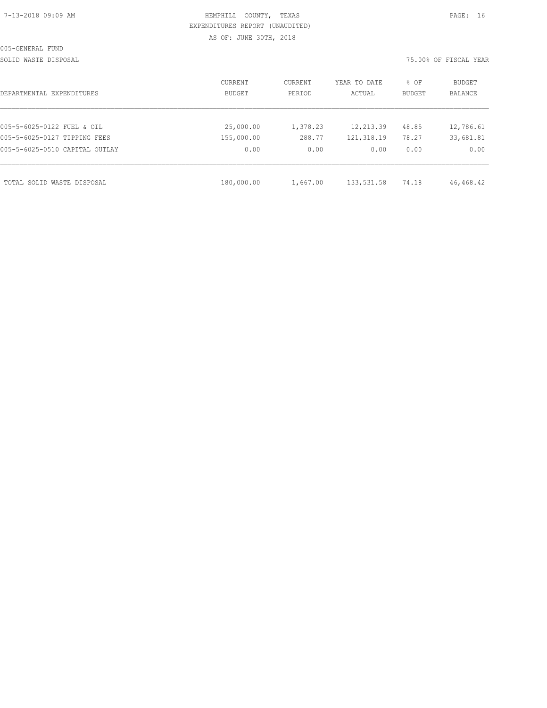| 7-13-2018 09:09 AM |  |  |
|--------------------|--|--|
|                    |  |  |

SOLID WASTE DISPOSAL 75.00% OF FISCAL YEAR

| DEPARTMENTAL EXPENDITURES      | CURRENT<br><b>BUDGET</b> | CURRENT<br>PERIOD | YEAR TO DATE<br>ACTUAL | % OF<br><b>BUDGET</b> | BUDGET<br><b>BALANCE</b> |
|--------------------------------|--------------------------|-------------------|------------------------|-----------------------|--------------------------|
|                                |                          |                   |                        |                       |                          |
| 005-5-6025-0122 FUEL & OIL     | 25,000.00                | 1,378.23          | 12,213.39              | 48.85                 | 12,786.61                |
| 005-5-6025-0127 TIPPING FEES   | 155,000.00               | 288.77            | 121,318.19             | 78.27                 | 33,681.81                |
| 005-5-6025-0510 CAPITAL OUTLAY | 0.00                     | 0.00              | 0.00                   | 0.00                  | 0.00                     |
| TOTAL SOLID WASTE DISPOSAL     | 180,000.00               | 1,667.00          | 133,531.58             | 74.18                 | 46,468.42                |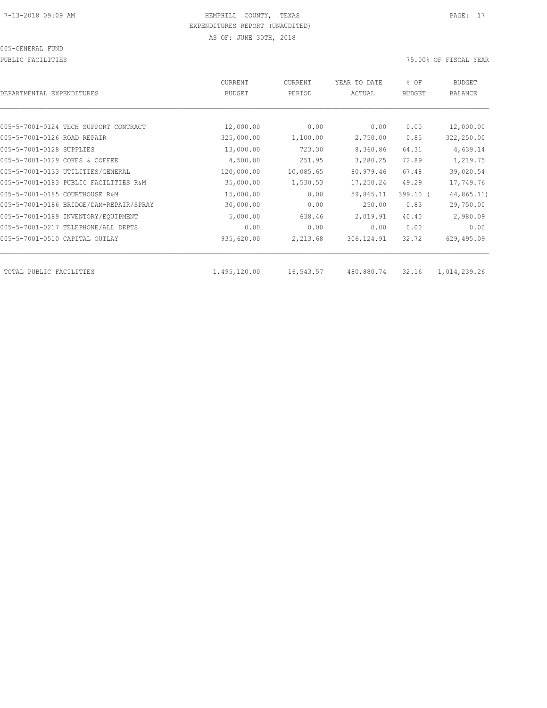005-GENERAL FUND

PUBLIC FACILITIES 75.00% OF FISCAL YEAR

| DEPARTMENTAL EXPENDITURES               | <b>CURRENT</b><br><b>BUDGET</b> | CURRENT<br>PERIOD | YEAR TO DATE<br>ACTUAL | % OF<br><b>BUDGET</b> | <b>BUDGET</b><br><b>BALANCE</b> |
|-----------------------------------------|---------------------------------|-------------------|------------------------|-----------------------|---------------------------------|
|                                         |                                 |                   |                        |                       |                                 |
| 005-5-7001-0124 TECH SUPPORT CONTRACT   | 12,000.00                       | 0.00              | 0.00                   | 0.00                  | 12,000.00                       |
| 005-5-7001-0126 ROAD REPAIR             | 325,000.00                      | 1,100.00          | 2,750.00               | 0.85                  | 322,250.00                      |
| 005-5-7001-0128 SUPPLIES                | 13,000.00                       | 723.30            | 8,360.86               | 64.31                 | 4,639.14                        |
| 005-5-7001-0129 COKES & COFFEE          | 4,500.00                        | 251.95            | 3,280.25               | 72.89                 | 1,219.75                        |
| 005-5-7001-0133 UTILITIES/GENERAL       | 120,000.00                      | 10,085.65         | 80,979.46              | 67.48                 | 39,020.54                       |
| 005-5-7001-0183 PUBLIC FACILITIES R&M   | 35,000.00                       | 1,530.53          | 17,250.24              | 49.29                 | 17,749.76                       |
| 005-5-7001-0185 COURTHOUSE R&M          | 15,000.00                       | 0.00              | 59,865.11              | $399.10$ (            | 44,865.11)                      |
| 005-5-7001-0186 BRIDGE/DAM-REPAIR/SPRAY | 30,000.00                       | 0.00              | 250.00                 | 0.83                  | 29,750.00                       |
| 005-5-7001-0189 INVENTORY/EQUIPMENT     | 5,000.00                        | 638.46            | 2,019.91               | 40.40                 | 2,980.09                        |
| 005-5-7001-0217 TELEPHONE/ALL DEPTS     | 0.00                            | 0.00              | 0.00                   | 0.00                  | 0.00                            |
| 005-5-7001-0510 CAPITAL OUTLAY          | 935,620.00                      | 2,213.68          | 306, 124.91            | 32.72                 | 629,495.09                      |
| TOTAL PUBLIC FACILITIES                 | 1,495,120.00                    | 16,543.57         | 480,880.74             | 32.16                 | 1,014,239.26                    |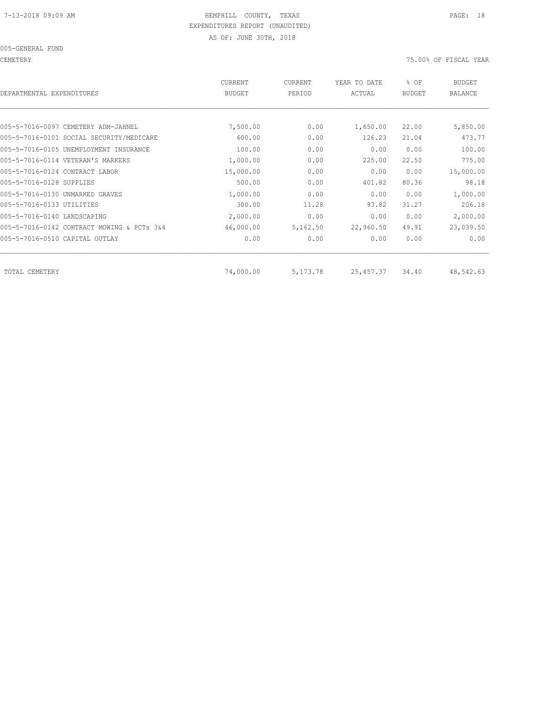005-GENERAL FUND

CEMETERY 75.00% OF FISCAL YEAR

| DEPARTMENTAL EXPENDITURES                  | <b>CURRENT</b><br><b>BUDGET</b> | CURRENT<br>PERIOD | YEAR TO DATE<br>ACTUAL | % OF<br><b>BUDGET</b> | <b>BUDGET</b><br><b>BALANCE</b> |
|--------------------------------------------|---------------------------------|-------------------|------------------------|-----------------------|---------------------------------|
|                                            |                                 |                   |                        |                       |                                 |
| 005-5-7016-0097 CEMETERY ADM-JAHNEL        | 7,500.00                        | 0.00              | 1,650.00               | 22.00                 | 5,850.00                        |
| 005-5-7016-0101 SOCIAL SECURITY/MEDICARE   | 600.00                          | 0.00              | 126.23                 | 21.04                 | 473.77                          |
| 005-5-7016-0105 UNEMPLOYMENT INSURANCE     | 100.00                          | 0.00              | 0.00                   | 0.00                  | 100.00                          |
| 005-5-7016-0114 VETERAN'S MARKERS          | 1,000.00                        | 0.00              | 225.00                 | 22.50                 | 775.00                          |
| 005-5-7016-0124 CONTRACT LABOR             | 15,000.00                       | 0.00              | 0.00                   | 0.00                  | 15,000.00                       |
| 005-5-7016-0128 SUPPLIES                   | 500.00                          | 0.00              | 401.82                 | 80.36                 | 98.18                           |
| 005-5-7016-0130 UNMARKED GRAVES            | 1,000.00                        | 0.00              | 0.00                   | 0.00                  | 1,000.00                        |
| 005-5-7016-0133 UTILITIES                  | 300.00                          | 11.28             | 93.82                  | 31.27                 | 206.18                          |
| 005-5-7016-0140 LANDSCAPING                | 2,000.00                        | 0.00              | 0.00                   | 0.00                  | 2,000.00                        |
| 005-5-7016-0142 CONTRACT MOWING & PCTs 3&4 | 46,000.00                       | 5,162.50          | 22,960.50              | 49.91                 | 23,039.50                       |
| 005-5-7016-0510 CAPITAL OUTLAY             | 0.00                            | 0.00              | 0.00                   | 0.00                  | 0.00                            |
|                                            |                                 |                   |                        |                       |                                 |
| TOTAL CEMETERY                             | 74,000.00                       | 5,173.78          | 25, 457.37             | 34.40                 | 48,542.63                       |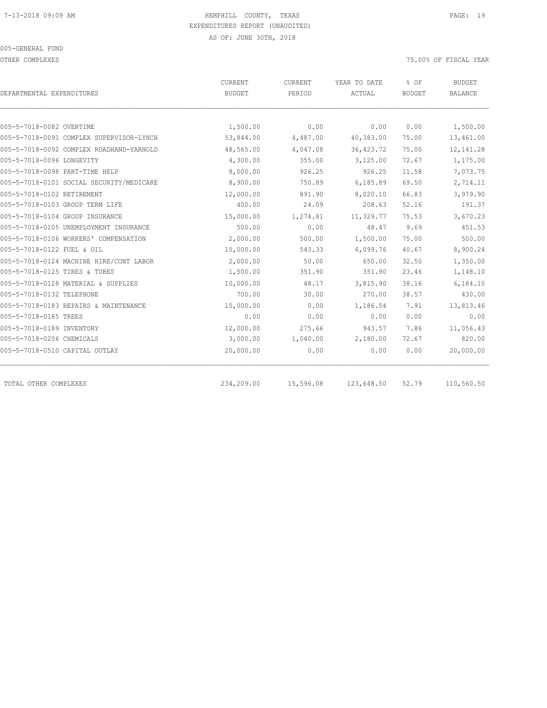OTHER COMPLEXES 75.00% OF FISCAL YEAR

|                                          | <b>CURRENT</b> | CURRENT   | YEAR TO DATE | % OF          | <b>BUDGET</b>  |
|------------------------------------------|----------------|-----------|--------------|---------------|----------------|
| DEPARTMENTAL EXPENDITURES                | <b>BUDGET</b>  | PERIOD    | ACTUAL       | <b>BUDGET</b> | <b>BALANCE</b> |
| 005-5-7018-0082 OVERTIME                 | 1,500.00       | 0.00      | 0.00         | 0.00          | 1,500.00       |
| 005-5-7018-0091 COMPLEX SUPERVISOR-LYNCH | 53,844.00      | 4,487.00  | 40,383.00    | 75.00         | 13,461.00      |
| 005-5-7018-0092 COMPLEX ROADHAND-YARNOLD | 48,565.00      | 4,047.08  | 36, 423.72   | 75.00         | 12, 141.28     |
| 005-5-7018-0096 LONGEVITY                | 4,300.00       | 355.00    | 3,125.00     | 72.67         | 1,175.00       |
| 005-5-7018-0098 PART-TIME HELP           | 8,000.00       | 926.25    | 926.25       | 11.58         | 7,073.75       |
| 005-5-7018-0101 SOCIAL SECURITY/MEDICARE | 8,900.00       | 750.89    | 6,185.89     | 69.50         | 2,714.11       |
| 005-5-7018-0102 RETIREMENT               | 12,000.00      | 891.90    | 8,020.10     | 66.83         | 3,979.90       |
| 005-5-7018-0103 GROUP TERM LIFE          | 400.00         | 24.09     | 208.63       | 52.16         | 191.37         |
| 005-5-7018-0104 GROUP INSURANCE          | 15,000.00      | 1,274.81  | 11,329.77    | 75.53         | 3,670.23       |
| 005-5-7018-0105 UNEMPLOYMENT INSURANCE   | 500.00         | 0.00      | 48.47        | 9.69          | 451.53         |
| 005-5-7018-0106 WORKERS' COMPENSATION    | 2,000.00       | 500.00    | 1,500.00     | 75.00         | 500.00         |
| 005-5-7018-0122 FUEL & OIL               | 15,000.00      | 543.33    | 6,099.76     | 40.67         | 8,900.24       |
| 005-5-7018-0124 MACHINE HIRE/CONT LABOR  | 2,000.00       | 50.00     | 650.00       | 32.50         | 1,350.00       |
| 005-5-7018-0125 TIRES & TUBES            | 1,500.00       | 351.90    | 351.90       | 23.46         | 1,148.10       |
| 005-5-7018-0128 MATERIAL & SUPPLIES      | 10,000.00      | 48.17     | 3,815.90     | 38.16         | 6,184.10       |
| 005-5-7018-0132 TELEPHONE                | 700.00         | 30.00     | 270.00       | 38.57         | 430.00         |
| 005-5-7018-0183 REPAIRS & MAINTENANCE    | 15,000.00      | 0.00      | 1,186.54     | 7.91          | 13,813.46      |
| 005-5-7018-0185 TREES                    | 0.00           | 0.00      | 0.00         | 0.00          | 0.00           |
| 005-5-7018-0189 INVENTORY                | 12,000.00      | 275.66    | 943.57       | 7.86          | 11,056.43      |
| 005-5-7018-0206 CHEMICALS                | 3,000.00       | 1,040.00  | 2,180.00     | 72.67         | 820.00         |
| 005-5-7018-0510 CAPITAL OUTLAY           | 20,000.00      | 0.00      | 0.00         | 0.00          | 20,000.00      |
| TOTAL OTHER COMPLEXES                    | 234,209.00     | 15,596.08 | 123,648.50   | 52.79         | 110,560.50     |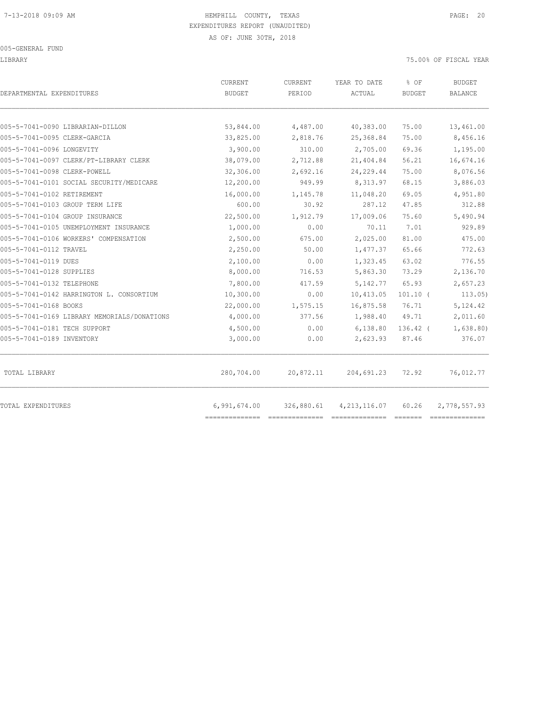LIBRARY 75.00% OF FISCAL YEAR

| DEPARTMENTAL EXPENDITURES                   | CURRENT<br><b>BUDGET</b> | CURRENT<br>PERIOD | YEAR TO DATE<br>ACTUAL | % OF<br><b>BUDGET</b> | <b>BUDGET</b><br><b>BALANCE</b> |
|---------------------------------------------|--------------------------|-------------------|------------------------|-----------------------|---------------------------------|
| 005-5-7041-0090 LIBRARIAN-DILLON            | 53,844.00                | 4,487.00          | 40,383.00              | 75.00                 | 13,461.00                       |
| 005-5-7041-0095 CLERK-GARCIA                | 33,825.00                | 2,818.76          | 25,368.84              | 75.00                 | 8,456.16                        |
| 005-5-7041-0096 LONGEVITY                   | 3,900.00                 | 310.00            | 2,705.00               | 69.36                 | 1,195.00                        |
| 005-5-7041-0097 CLERK/PT-LIBRARY CLERK      | 38,079.00                | 2,712.88          | 21,404.84              | 56.21                 | 16,674.16                       |
| 005-5-7041-0098 CLERK-POWELL                | 32,306.00                | 2,692.16          | 24, 229.44             | 75.00                 | 8,076.56                        |
| 005-5-7041-0101 SOCIAL SECURITY/MEDICARE    | 12,200.00                | 949.99            | 8,313.97               | 68.15                 | 3,886.03                        |
| 005-5-7041-0102 RETIREMENT                  | 16,000.00                | 1,145.78          | 11,048.20              | 69.05                 | 4,951.80                        |
| 005-5-7041-0103 GROUP TERM LIFE             | 600.00                   | 30.92             | 287.12                 | 47.85                 | 312.88                          |
| 005-5-7041-0104 GROUP INSURANCE             | 22,500.00                | 1,912.79          | 17,009.06              | 75.60                 | 5,490.94                        |
| 005-5-7041-0105 UNEMPLOYMENT INSURANCE      | 1,000.00                 | 0.00              | 70.11                  | 7.01                  | 929.89                          |
| 005-5-7041-0106 WORKERS' COMPENSATION       | 2,500.00                 | 675.00            | 2,025.00               | 81.00                 | 475.00                          |
| 005-5-7041-0112 TRAVEL                      | 2,250.00                 | 50.00             | 1,477.37               | 65.66                 | 772.63                          |
| 005-5-7041-0119 DUES                        | 2,100.00                 | 0.00              | 1,323.45               | 63.02                 | 776.55                          |
| 005-5-7041-0128 SUPPLIES                    | 8,000.00                 | 716.53            | 5,863.30               | 73.29                 | 2,136.70                        |
| 005-5-7041-0132 TELEPHONE                   | 7,800.00                 | 417.59            | 5, 142.77              | 65.93                 | 2,657.23                        |
| 005-5-7041-0142 HARRINGTON L. CONSORTIUM    | 10,300.00                | 0.00              | 10,413.05              | $101.10$ (            | 113.05)                         |
| 005-5-7041-0168 BOOKS                       | 22,000.00                | 1,575.15          | 16,875.58              | 76.71                 | 5, 124.42                       |
| 005-5-7041-0169 LIBRARY MEMORIALS/DONATIONS | 4,000.00                 | 377.56            | 1,988.40               | 49.71                 | 2,011.60                        |
| 005-5-7041-0181 TECH SUPPORT                | 4,500.00                 | 0.00              | 6,138.80               | $136.42$ (            | 1,638.80)                       |
| 005-5-7041-0189 INVENTORY                   | 3,000.00                 | 0.00              | 2,623.93               | 87.46                 | 376.07                          |
| TOTAL LIBRARY                               | 280,704.00               | 20,872.11         | 204,691.23             | 72.92                 | 76,012.77                       |
| TOTAL EXPENDITURES                          | 6,991,674.00             | 326,880.61        | 4, 213, 116.07         | 60.26                 | 2,778,557.93                    |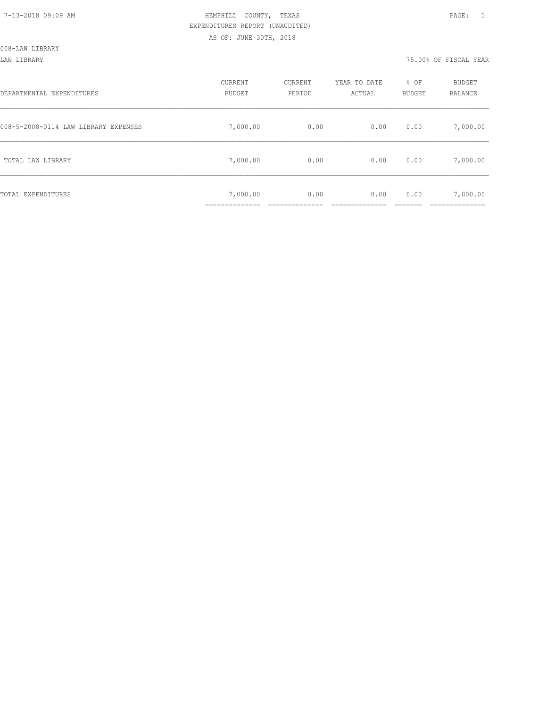| DEPARTMENTAL EXPENDITURES            | CURRENT<br><b>BUDGET</b> | CURRENT<br>PERIOD | YEAR TO DATE<br>ACTUAL | % OF<br>BUDGET | BUDGET<br><b>BALANCE</b> |
|--------------------------------------|--------------------------|-------------------|------------------------|----------------|--------------------------|
| 008-5-2008-0114 LAW LIBRARY EXPENSES | 7,000.00                 | 0.00              | 0.00                   | 0.00           | 7,000.00                 |
| TOTAL LAW LIBRARY                    | 7,000.00                 | 0.00              | 0.00                   | 0.00           | 7,000.00                 |
| TOTAL EXPENDITURES                   | 7,000.00                 | 0.00              | 0.00                   | 0.00           | 7,000.00                 |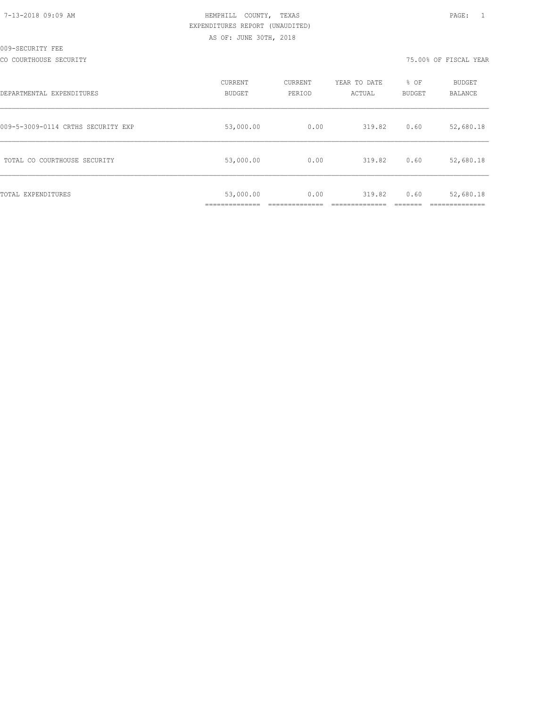| 7-13-2018 09:09 AM |  |
|--------------------|--|
|                    |  |

CO COURTHOUSE SECURITY 75.00% OF FISCAL YEAR

| DEPARTMENTAL EXPENDITURES          | CURRENT<br><b>BUDGET</b> | CURRENT<br>PERIOD | YEAR TO DATE<br>ACTUAL | % OF<br><b>BUDGET</b> | BUDGET<br>BALANCE |
|------------------------------------|--------------------------|-------------------|------------------------|-----------------------|-------------------|
| 009-5-3009-0114 CRTHS SECURITY EXP | 53,000.00                | 0.00              | 319.82                 | 0.60                  | 52,680.18         |
| TOTAL CO COURTHOUSE SECURITY       | 53,000.00                | 0.00              | 319.82                 | 0.60                  | 52,680.18         |
| TOTAL EXPENDITURES                 | 53,000.00<br>___________ | 0.00              | 319.82                 | 0.60                  | 52,680.18         |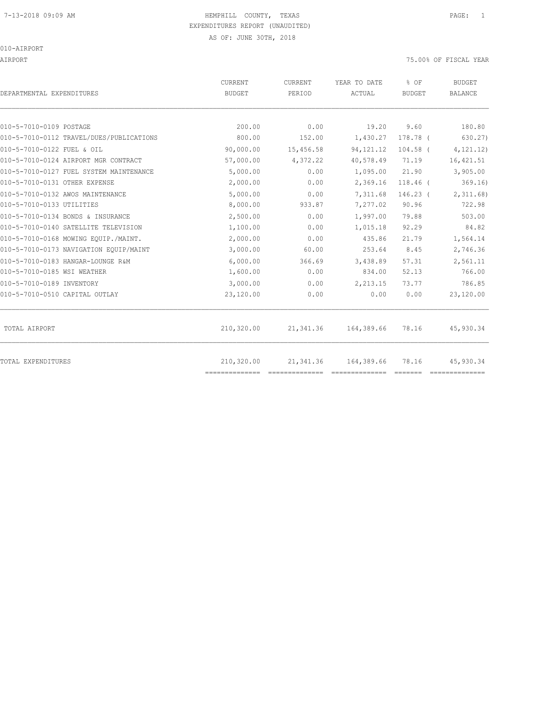## 7-13-2018 09:09 AM HEMPHILL COUNTY, TEXAS PAGE: 1 EXPENDITURES REPORT (UNAUDITED)

AS OF: JUNE 30TH, 2018

010-AIRPORT

AIRPORT 75.00% OF FISCAL YEAR

| DEPARTMENTAL EXPENDITURES                | <b>CURRENT</b><br><b>BUDGET</b> | CURRENT<br>PERIOD | YEAR TO DATE<br>ACTUAL | % OF<br><b>BUDGET</b> | <b>BUDGET</b><br><b>BALANCE</b> |
|------------------------------------------|---------------------------------|-------------------|------------------------|-----------------------|---------------------------------|
| 010-5-7010-0109 POSTAGE                  | 200.00                          | 0.00              |                        | 9.60                  | 180.80                          |
|                                          | 800.00                          |                   | 19.20                  |                       |                                 |
| 010-5-7010-0112 TRAVEL/DUES/PUBLICATIONS |                                 | 152.00            | 1,430.27               | 178.78 (              | 630.27)                         |
| 010-5-7010-0122 FUEL & OIL               | 90,000.00                       | 15,456.58         | 94, 121. 12            | $104.58$ (            | 4, 121.12)                      |
| 010-5-7010-0124 AIRPORT MGR CONTRACT     | 57,000.00                       | 4,372.22          | 40,578.49              | 71.19                 | 16, 421.51                      |
| 010-5-7010-0127 FUEL SYSTEM MAINTENANCE  | 5,000.00                        | 0.00              | 1,095.00               | 21.90                 | 3,905.00                        |
| 010-5-7010-0131 OTHER EXPENSE            | 2,000.00                        | 0.00              | 2,369.16               | $118.46$ (            | 369.16)                         |
| 010-5-7010-0132 AWOS MAINTENANCE         | 5,000.00                        | 0.00              | 7,311.68               | $146.23$ (            | 2,311.68                        |
| 010-5-7010-0133 UTILITIES                | 8,000.00                        | 933.87            | 7,277.02               | 90.96                 | 722.98                          |
| 010-5-7010-0134 BONDS & INSURANCE        | 2,500.00                        | 0.00              | 1,997.00               | 79.88                 | 503.00                          |
| 010-5-7010-0140 SATELLITE TELEVISION     | 1,100.00                        | 0.00              | 1,015.18               | 92.29                 | 84.82                           |
| 010-5-7010-0168 MOWING EOUIP./MAINT.     | 2,000.00                        | 0.00              | 435.86                 | 21.79                 | 1,564.14                        |
| 010-5-7010-0173 NAVIGATION EQUIP/MAINT   | 3,000.00                        | 60.00             | 253.64                 | 8.45                  | 2,746.36                        |
| 010-5-7010-0183 HANGAR-LOUNGE R&M        | 6,000.00                        | 366.69            | 3,438.89               | 57.31                 | 2,561.11                        |
| 010-5-7010-0185 WSI WEATHER              | 1,600.00                        | 0.00              | 834.00                 | 52.13                 | 766.00                          |
| 010-5-7010-0189 INVENTORY                | 3,000.00                        | 0.00              | 2,213.15               | 73.77                 | 786.85                          |
| 010-5-7010-0510 CAPITAL OUTLAY           | 23,120.00                       | 0.00              | 0.00                   | 0.00                  | 23,120.00                       |
| TOTAL AIRPORT                            | 210,320.00                      | 21,341.36         | 164,389.66             | 78.16                 | 45,930.34                       |
| TOTAL EXPENDITURES                       | 210,320.00<br>--------------    | 21,341.36         | 164,389.66             | 78.16                 | 45,930.34                       |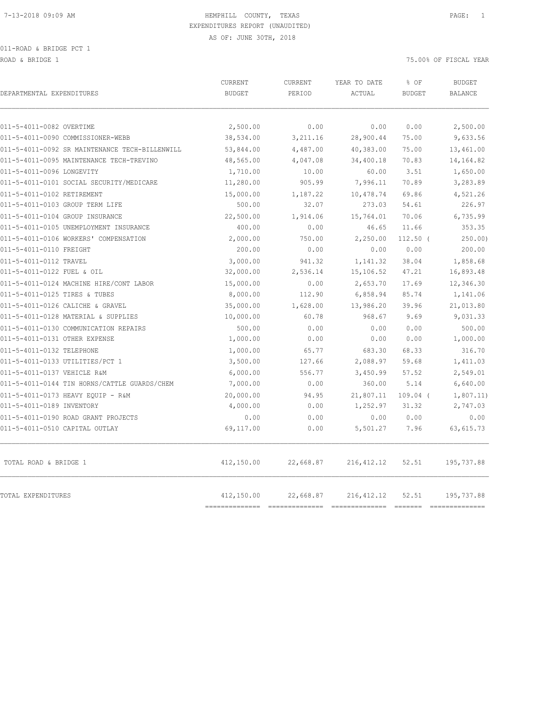011-ROAD & BRIDGE PCT 1

ROAD & BRIDGE 1 75.00% OF FISCAL YEAR (2002)

| DEPARTMENTAL EXPENDITURES                      | CURRENT<br><b>BUDGET</b> | <b>CURRENT</b><br>PERIOD | YEAR TO DATE<br>ACTUAL | % OF<br><b>BUDGET</b> | <b>BUDGET</b><br><b>BALANCE</b> |
|------------------------------------------------|--------------------------|--------------------------|------------------------|-----------------------|---------------------------------|
| 011-5-4011-0082 OVERTIME                       | 2,500.00                 | 0.00                     | 0.00                   | 0.00                  | 2,500.00                        |
| 011-5-4011-0090 COMMISSIONER-WEBB              | 38,534.00                | 3,211.16                 | 28,900.44              | 75.00                 | 9,633.56                        |
| 011-5-4011-0092 SR MAINTENANCE TECH-BILLENWILL | 53,844.00                | 4,487.00                 | 40,383.00              | 75.00                 | 13,461.00                       |
| 011-5-4011-0095 MAINTENANCE TECH-TREVINO       | 48,565.00                | 4,047.08                 | 34,400.18              | 70.83                 | 14,164.82                       |
| 011-5-4011-0096 LONGEVITY                      | 1,710.00                 | 10.00                    | 60.00                  | 3.51                  | 1,650.00                        |
| 011-5-4011-0101 SOCIAL SECURITY/MEDICARE       | 11,280.00                | 905.99                   | 7,996.11               | 70.89                 | 3,283.89                        |
| 011-5-4011-0102 RETIREMENT                     | 15,000.00                | 1,187.22                 | 10,478.74              | 69.86                 | 4,521.26                        |
| 011-5-4011-0103 GROUP TERM LIFE                | 500.00                   | 32.07                    | 273.03                 | 54.61                 | 226.97                          |
| 011-5-4011-0104 GROUP INSURANCE                | 22,500.00                | 1,914.06                 | 15,764.01              | 70.06                 | 6,735.99                        |
| 011-5-4011-0105 UNEMPLOYMENT INSURANCE         | 400.00                   | 0.00                     | 46.65                  | 11.66                 | 353.35                          |
| 011-5-4011-0106 WORKERS' COMPENSATION          | 2,000.00                 | 750.00                   | 2,250.00               | $112.50$ (            | 250.00                          |
| 011-5-4011-0110 FREIGHT                        | 200.00                   | 0.00                     | 0.00                   | 0.00                  | 200.00                          |
| 011-5-4011-0112 TRAVEL                         | 3,000.00                 | 941.32                   | 1,141.32               | 38.04                 | 1,858.68                        |
| 011-5-4011-0122 FUEL & OIL                     | 32,000.00                | 2,536.14                 | 15,106.52              | 47.21                 | 16,893.48                       |
| 011-5-4011-0124 MACHINE HIRE/CONT LABOR        | 15,000.00                | 0.00                     | 2,653.70               | 17.69                 | 12,346.30                       |
| 011-5-4011-0125 TIRES & TUBES                  | 8,000.00                 | 112.90                   | 6,858.94               | 85.74                 | 1,141.06                        |
| 011-5-4011-0126 CALICHE & GRAVEL               | 35,000.00                | 1,628.00                 | 13,986.20              | 39.96                 | 21,013.80                       |
| 011-5-4011-0128 MATERIAL & SUPPLIES            | 10,000.00                | 60.78                    | 968.67                 | 9.69                  | 9,031.33                        |
| 011-5-4011-0130 COMMUNICATION REPAIRS          | 500.00                   | 0.00                     | 0.00                   | 0.00                  | 500.00                          |
| 011-5-4011-0131 OTHER EXPENSE                  | 1,000.00                 | 0.00                     | 0.00                   | 0.00                  | 1,000.00                        |
| 011-5-4011-0132 TELEPHONE                      | 1,000.00                 | 65.77                    | 683.30                 | 68.33                 | 316.70                          |
| 011-5-4011-0133 UTILITIES/PCT 1                | 3,500.00                 | 127.66                   | 2,088.97               | 59.68                 | 1,411.03                        |
| 011-5-4011-0137 VEHICLE R&M                    | 6,000.00                 | 556.77                   | 3,450.99               | 57.52                 | 2,549.01                        |
| 011-5-4011-0144 TIN HORNS/CATTLE GUARDS/CHEM   | 7,000.00                 | 0.00                     | 360.00                 | 5.14                  | 6,640.00                        |
| 011-5-4011-0173 HEAVY EQUIP - R&M              | 20,000.00                | 94.95                    | 21,807.11              | $109.04$ (            | 1,807.11)                       |
| 011-5-4011-0189 INVENTORY                      | 4,000.00                 | 0.00                     | 1,252.97               | 31.32                 | 2,747.03                        |
| 011-5-4011-0190 ROAD GRANT PROJECTS            | 0.00                     | 0.00                     | 0.00                   | 0.00                  | 0.00                            |
| 011-5-4011-0510 CAPITAL OUTLAY                 | 69,117.00                | 0.00                     | 5,501.27               | 7.96                  | 63, 615.73                      |
| TOTAL ROAD & BRIDGE 1                          | 412,150.00               | 22,668.87                | 216, 412.12            | 52.51                 | 195,737.88                      |
| TOTAL EXPENDITURES                             | 412,150.00               | 22,668.87                | 216, 412.12            | 52.51                 | 195,737.88                      |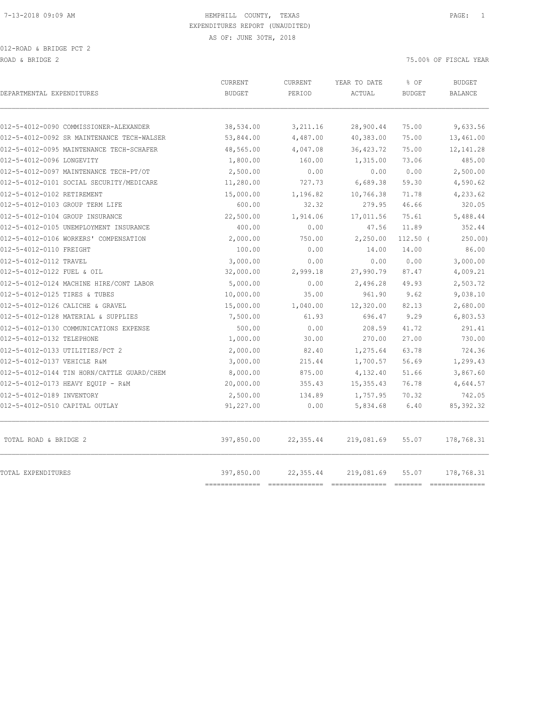| DEPARTMENTAL EXPENDITURES                  | CURRENT<br><b>BUDGET</b>     | CURRENT<br>PERIOD | YEAR TO DATE<br>ACTUAL | % OF<br><b>BUDGET</b> | <b>BUDGET</b><br><b>BALANCE</b> |
|--------------------------------------------|------------------------------|-------------------|------------------------|-----------------------|---------------------------------|
| 012-5-4012-0090 COMMISSIONER-ALEXANDER     | 38,534.00                    | 3,211.16          | 28,900.44              | 75.00                 | 9,633.56                        |
| 012-5-4012-0092 SR MAINTENANCE TECH-WALSER | 53,844.00                    | 4,487.00          | 40,383.00              | 75.00                 | 13,461.00                       |
| 012-5-4012-0095 MAINTENANCE TECH-SCHAFER   | 48,565.00                    | 4,047.08          | 36, 423.72             | 75.00                 | 12, 141.28                      |
| 012-5-4012-0096 LONGEVITY                  | 1,800.00                     | 160.00            | 1,315.00               | 73.06                 | 485.00                          |
| 012-5-4012-0097 MAINTENANCE TECH-PT/OT     | 2,500.00                     | 0.00              | 0.00                   | 0.00                  | 2,500.00                        |
| 012-5-4012-0101 SOCIAL SECURITY/MEDICARE   | 11,280.00                    | 727.73            | 6,689.38               | 59.30                 | 4,590.62                        |
| 012-5-4012-0102 RETIREMENT                 | 15,000.00                    | 1,196.82          | 10,766.38              | 71.78                 | 4,233.62                        |
| 012-5-4012-0103 GROUP TERM LIFE            | 600.00                       | 32.32             | 279.95                 | 46.66                 | 320.05                          |
| 012-5-4012-0104 GROUP INSURANCE            | 22,500.00                    | 1,914.06          | 17,011.56              | 75.61                 | 5,488.44                        |
| 012-5-4012-0105 UNEMPLOYMENT INSURANCE     | 400.00                       | 0.00              | 47.56                  | 11.89                 | 352.44                          |
| 012-5-4012-0106 WORKERS' COMPENSATION      | 2,000.00                     | 750.00            | 2,250.00               | $112.50$ (            | 250.00                          |
| 012-5-4012-0110 FREIGHT                    | 100.00                       | 0.00              | 14.00                  | 14.00                 | 86.00                           |
| 012-5-4012-0112 TRAVEL                     | 3,000.00                     | 0.00              | 0.00                   | 0.00                  | 3,000.00                        |
| 012-5-4012-0122 FUEL & OIL                 | 32,000.00                    | 2,999.18          | 27,990.79              | 87.47                 | 4,009.21                        |
| 012-5-4012-0124 MACHINE HIRE/CONT LABOR    | 5,000.00                     | 0.00              | 2,496.28               | 49.93                 | 2,503.72                        |
| 012-5-4012-0125 TIRES & TUBES              | 10,000.00                    | 35.00             | 961.90                 | 9.62                  | 9,038.10                        |
| 012-5-4012-0126 CALICHE & GRAVEL           | 15,000.00                    | 1,040.00          | 12,320.00              | 82.13                 | 2,680.00                        |
| 012-5-4012-0128 MATERIAL & SUPPLIES        | 7,500.00                     | 61.93             | 696.47                 | 9.29                  | 6,803.53                        |
| 012-5-4012-0130 COMMUNICATIONS EXPENSE     | 500.00                       | 0.00              | 208.59                 | 41.72                 | 291.41                          |
| 012-5-4012-0132 TELEPHONE                  | 1,000.00                     | 30.00             | 270.00                 | 27.00                 | 730.00                          |
| 012-5-4012-0133 UTILITIES/PCT 2            | 2,000.00                     | 82.40             | 1,275.64               | 63.78                 | 724.36                          |
| 012-5-4012-0137 VEHICLE R&M                | 3,000.00                     | 215.44            | 1,700.57               | 56.69                 | 1,299.43                        |
| 012-5-4012-0144 TIN HORN/CATTLE GUARD/CHEM | 8,000.00                     | 875.00            | 4,132.40               | 51.66                 | 3,867.60                        |
| 012-5-4012-0173 HEAVY EQUIP - R&M          | 20,000.00                    | 355.43            | 15, 355.43             | 76.78                 | 4,644.57                        |
| 012-5-4012-0189 INVENTORY                  | 2,500.00                     | 134.89            | 1,757.95               | 70.32                 | 742.05                          |
| 012-5-4012-0510 CAPITAL OUTLAY             | 91,227.00                    | 0.00              | 5,834.68               | 6.40                  | 85, 392.32                      |
| TOTAL ROAD & BRIDGE 2                      | 397,850.00                   | 22,355.44         | 219,081.69             | 55.07                 | 178,768.31                      |
| TOTAL EXPENDITURES                         | 397,850.00<br>-------------- | 22,355.44         | 219,081.69             | 55.07                 | 178,768.31<br>==============    |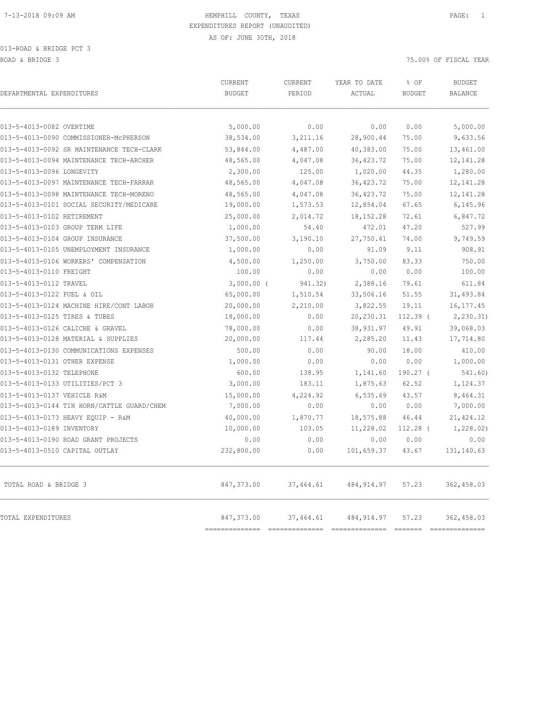013-ROAD & BRIDGE PCT 3 ROAD & BRIDGE 3 75.00% OF FISCAL YEAR

| DEPARTMENTAL EXPENDITURES                  | CURRENT<br><b>BUDGET</b>     | CURRENT<br>PERIOD | YEAR TO DATE<br>ACTUAL | % OF<br><b>BUDGET</b>                | <b>BUDGET</b><br><b>BALANCE</b>                                                                                                                                                                                                                                                                                                                                                                |
|--------------------------------------------|------------------------------|-------------------|------------------------|--------------------------------------|------------------------------------------------------------------------------------------------------------------------------------------------------------------------------------------------------------------------------------------------------------------------------------------------------------------------------------------------------------------------------------------------|
| 013-5-4013-0082 OVERTIME                   | 5,000.00                     | 0.00              | 0.00                   | 0.00                                 | 5,000.00                                                                                                                                                                                                                                                                                                                                                                                       |
| 013-5-4013-0090 COMMISSIONER-MCPHERSON     | 38,534.00                    | 3,211.16          | 28,900.44              | 75.00                                | 9,633.56                                                                                                                                                                                                                                                                                                                                                                                       |
| 013-5-4013-0092 SR MAINTENANCE TECH-CLARK  | 53,844.00                    | 4,487.00          | 40,383.00              | 75.00                                | 13,461.00                                                                                                                                                                                                                                                                                                                                                                                      |
| 013-5-4013-0094 MAINTENANCE TECH-ARCHER    | 48,565.00                    | 4,047.08          | 36, 423.72             | 75.00                                | 12, 141.28                                                                                                                                                                                                                                                                                                                                                                                     |
| 013-5-4013-0096 LONGEVITY                  | 2,300.00                     | 125.00            | 1,020.00               | 44.35                                | 1,280.00                                                                                                                                                                                                                                                                                                                                                                                       |
| 013-5-4013-0097 MAINTENANCE TECH-FARRAR    | 48,565.00                    | 4,047.08          | 36, 423.72             | 75.00                                | 12, 141.28                                                                                                                                                                                                                                                                                                                                                                                     |
| 013-5-4013-0098 MAINTENANCE TECH-MORENO    | 48,565.00                    | 4,047.08          | 36, 423.72             | 75.00                                | 12, 141.28                                                                                                                                                                                                                                                                                                                                                                                     |
| 013-5-4013-0101 SOCIAL SECURITY/MEDICARE   | 19,000.00                    | 1,573.53          | 12,854.04              | 67.65                                | 6,145.96                                                                                                                                                                                                                                                                                                                                                                                       |
| 013-5-4013-0102 RETIREMENT                 | 25,000.00                    | 2,014.72          | 18, 152. 28            | 72.61                                | 6,847.72                                                                                                                                                                                                                                                                                                                                                                                       |
| 013-5-4013-0103 GROUP TERM LIFE            | 1,000.00                     | 54.40             | 472.01                 | 47.20                                | 527.99                                                                                                                                                                                                                                                                                                                                                                                         |
| 013-5-4013-0104 GROUP INSURANCE            | 37,500.00                    | 3,190.10          | 27,750.41              | 74.00                                | 9,749.59                                                                                                                                                                                                                                                                                                                                                                                       |
| 013-5-4013-0105 UNEMPLOYMENT INSURANCE     | 1,000.00                     | 0.00              | 91.09                  | 9.11                                 | 908.91                                                                                                                                                                                                                                                                                                                                                                                         |
| 013-5-4013-0106 WORKERS' COMPENSATION      | 4,500.00                     | 1,250.00          | 3,750.00               | 83.33                                | 750.00                                                                                                                                                                                                                                                                                                                                                                                         |
| 013-5-4013-0110 FREIGHT                    | 100.00                       | 0.00              | 0.00                   | 0.00                                 | 100.00                                                                                                                                                                                                                                                                                                                                                                                         |
| 013-5-4013-0112 TRAVEL                     | $3,000.00$ (                 | 941.32)           | 2,388.16               | 79.61                                | 611.84                                                                                                                                                                                                                                                                                                                                                                                         |
| 013-5-4013-0122 FUEL & OIL                 | 65,000.00                    | 1,510.54          | 33,506.16              | 51.55                                | 31,493.84                                                                                                                                                                                                                                                                                                                                                                                      |
| 013-5-4013-0124 MACHINE HIRE/CONT LABOR    | 20,000.00                    | 2,210.00          | 3,822.55               | 19.11                                | 16, 177.45                                                                                                                                                                                                                                                                                                                                                                                     |
| 013-5-4013-0125 TIRES & TUBES              | 18,000.00                    | 0.00              | 20,230.31              | $112.39$ (                           | 2, 230.31)                                                                                                                                                                                                                                                                                                                                                                                     |
| 013-5-4013-0126 CALICHE & GRAVEL           | 78,000.00                    | 0.00              | 38,931.97              | 49.91                                | 39,068.03                                                                                                                                                                                                                                                                                                                                                                                      |
| 013-5-4013-0128 MATERIAL & SUPPLIES        | 20,000.00                    | 117.44            | 2,285.20               | 11.43                                | 17,714.80                                                                                                                                                                                                                                                                                                                                                                                      |
| 013-5-4013-0130 COMMUNICATIONS EXPENSES    | 500.00                       | 0.00              | 90.00                  | 18.00                                | 410.00                                                                                                                                                                                                                                                                                                                                                                                         |
| 013-5-4013-0131 OTHER EXPENSE              | 1,000.00                     | 0.00              | 0.00                   | 0.00                                 | 1,000.00                                                                                                                                                                                                                                                                                                                                                                                       |
| 013-5-4013-0132 TELEPHONE                  | 600.00                       | 138.95            | 1,141.60               | $190.27$ (                           | 541.60)                                                                                                                                                                                                                                                                                                                                                                                        |
| 013-5-4013-0133 UTILITIES/PCT 3            | 3,000.00                     | 183.11            | 1,875.63               | 62.52                                | 1,124.37                                                                                                                                                                                                                                                                                                                                                                                       |
| 013-5-4013-0137 VEHICLE R&M                | 15,000.00                    | 4,224.92          | 6, 535.69              | 43.57                                | 8,464.31                                                                                                                                                                                                                                                                                                                                                                                       |
| 013-5-4013-0144 TIN HORN/CATTLE GUARD/CHEM | 7,000.00                     | 0.00              | 0.00                   | 0.00                                 | 7,000.00                                                                                                                                                                                                                                                                                                                                                                                       |
| 013-5-4013-0173 HEAVY EQUIP - R&M          | 40,000.00                    | 1,870.77          | 18,575.88              | 46.44                                | 21, 424.12                                                                                                                                                                                                                                                                                                                                                                                     |
| 013-5-4013-0189 INVENTORY                  | 10,000.00                    | 103.05            | 11,228.02              | $112.28$ (                           | 1,228.02)                                                                                                                                                                                                                                                                                                                                                                                      |
| 013-5-4013-0190 ROAD GRANT PROJECTS        | 0.00                         | 0.00              | 0.00                   | 0.00                                 | 0.00                                                                                                                                                                                                                                                                                                                                                                                           |
| 013-5-4013-0510 CAPITAL OUTLAY             | 232,800.00                   | 0.00              | 101,659.37             | 43.67                                | 131, 140.63                                                                                                                                                                                                                                                                                                                                                                                    |
| TOTAL ROAD & BRIDGE 3                      | 847,373.00                   | 37,464.61         | 484, 914.97            | 57.23                                | 362,458.03                                                                                                                                                                                                                                                                                                                                                                                     |
| TOTAL EXPENDITURES                         | 847,373.00<br>============== | 37,464.61         | 484, 914.97            | 57.23<br>$=$ $=$ $=$ $=$ $=$ $=$ $=$ | 362,458.03<br>$\begin{array}{c} \rule{0pt}{2.5mm} \rule{0pt}{2.5mm} \rule{0pt}{2.5mm} \rule{0pt}{2.5mm} \rule{0pt}{2.5mm} \rule{0pt}{2.5mm} \rule{0pt}{2.5mm} \rule{0pt}{2.5mm} \rule{0pt}{2.5mm} \rule{0pt}{2.5mm} \rule{0pt}{2.5mm} \rule{0pt}{2.5mm} \rule{0pt}{2.5mm} \rule{0pt}{2.5mm} \rule{0pt}{2.5mm} \rule{0pt}{2.5mm} \rule{0pt}{2.5mm} \rule{0pt}{2.5mm} \rule{0pt}{2.5mm} \rule{0$ |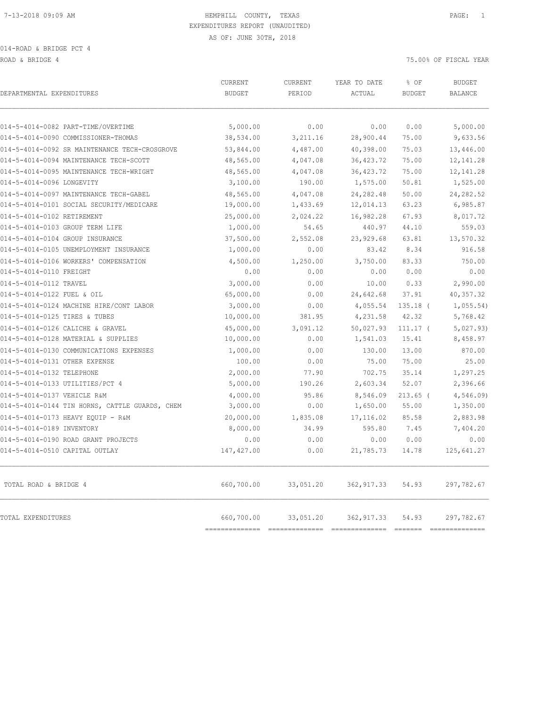014-ROAD & BRIDGE PCT 4

ROAD & BRIDGE 4 75.00% OF FISCAL YEAR

| DEPARTMENTAL EXPENDITURES                      | CURRENT<br><b>BUDGET</b>     | <b>CURRENT</b><br>PERIOD    | YEAR TO DATE<br>ACTUAL        | % OF<br><b>BUDGET</b>                                                                                                                                                                                                                                                                                                                                                                                                                                                                           | <b>BUDGET</b><br><b>BALANCE</b>                                                                                                                                                                                                                                                                                                                                                                |
|------------------------------------------------|------------------------------|-----------------------------|-------------------------------|-------------------------------------------------------------------------------------------------------------------------------------------------------------------------------------------------------------------------------------------------------------------------------------------------------------------------------------------------------------------------------------------------------------------------------------------------------------------------------------------------|------------------------------------------------------------------------------------------------------------------------------------------------------------------------------------------------------------------------------------------------------------------------------------------------------------------------------------------------------------------------------------------------|
| 014-5-4014-0082 PART-TIME/OVERTIME             | 5,000.00                     | 0.00                        | 0.00                          | 0.00                                                                                                                                                                                                                                                                                                                                                                                                                                                                                            | 5,000.00                                                                                                                                                                                                                                                                                                                                                                                       |
| 014-5-4014-0090 COMMISSIONER-THOMAS            | 38,534.00                    | 3,211.16                    | 28,900.44                     | 75.00                                                                                                                                                                                                                                                                                                                                                                                                                                                                                           | 9,633.56                                                                                                                                                                                                                                                                                                                                                                                       |
| 014-5-4014-0092 SR MAINTENANCE TECH-CROSGROVE  | 53,844.00                    | 4,487.00                    | 40,398.00                     | 75.03                                                                                                                                                                                                                                                                                                                                                                                                                                                                                           | 13,446.00                                                                                                                                                                                                                                                                                                                                                                                      |
| 014-5-4014-0094 MAINTENANCE TECH-SCOTT         | 48,565.00                    | 4,047.08                    | 36, 423.72                    | 75.00                                                                                                                                                                                                                                                                                                                                                                                                                                                                                           | 12, 141.28                                                                                                                                                                                                                                                                                                                                                                                     |
| 014-5-4014-0095 MAINTENANCE TECH-WRIGHT        | 48,565.00                    | 4,047.08                    | 36, 423.72                    | 75.00                                                                                                                                                                                                                                                                                                                                                                                                                                                                                           | 12, 141.28                                                                                                                                                                                                                                                                                                                                                                                     |
| 014-5-4014-0096 LONGEVITY                      | 3,100.00                     | 190.00                      | 1,575.00                      | 50.81                                                                                                                                                                                                                                                                                                                                                                                                                                                                                           | 1,525.00                                                                                                                                                                                                                                                                                                                                                                                       |
| 014-5-4014-0097 MAINTENANCE TECH-GABEL         | 48,565.00                    | 4,047.08                    | 24, 282.48                    | 50.00                                                                                                                                                                                                                                                                                                                                                                                                                                                                                           | 24,282.52                                                                                                                                                                                                                                                                                                                                                                                      |
| 014-5-4014-0101 SOCIAL SECURITY/MEDICARE       | 19,000.00                    | 1,433.69                    | 12,014.13                     | 63.23                                                                                                                                                                                                                                                                                                                                                                                                                                                                                           | 6,985.87                                                                                                                                                                                                                                                                                                                                                                                       |
| 014-5-4014-0102 RETIREMENT                     | 25,000.00                    | 2,024.22                    | 16,982.28                     | 67.93                                                                                                                                                                                                                                                                                                                                                                                                                                                                                           | 8,017.72                                                                                                                                                                                                                                                                                                                                                                                       |
| 014-5-4014-0103 GROUP TERM LIFE                | 1,000.00                     | 54.65                       | 440.97                        | 44.10                                                                                                                                                                                                                                                                                                                                                                                                                                                                                           | 559.03                                                                                                                                                                                                                                                                                                                                                                                         |
| 014-5-4014-0104 GROUP INSURANCE                | 37,500.00                    | 2,552.08                    | 23,929.68                     | 63.81                                                                                                                                                                                                                                                                                                                                                                                                                                                                                           | 13,570.32                                                                                                                                                                                                                                                                                                                                                                                      |
| 014-5-4014-0105 UNEMPLOYMENT INSURANCE         | 1,000.00                     | 0.00                        | 83.42                         | 8.34                                                                                                                                                                                                                                                                                                                                                                                                                                                                                            | 916.58                                                                                                                                                                                                                                                                                                                                                                                         |
| 014-5-4014-0106 WORKERS' COMPENSATION          | 4,500.00                     | 1,250.00                    | 3,750.00                      | 83.33                                                                                                                                                                                                                                                                                                                                                                                                                                                                                           | 750.00                                                                                                                                                                                                                                                                                                                                                                                         |
| 014-5-4014-0110 FREIGHT                        | 0.00                         | 0.00                        | 0.00                          | 0.00                                                                                                                                                                                                                                                                                                                                                                                                                                                                                            | 0.00                                                                                                                                                                                                                                                                                                                                                                                           |
| 014-5-4014-0112 TRAVEL                         | 3,000.00                     | 0.00                        | 10.00                         | 0.33                                                                                                                                                                                                                                                                                                                                                                                                                                                                                            | 2,990.00                                                                                                                                                                                                                                                                                                                                                                                       |
| 014-5-4014-0122 FUEL & OIL                     | 65,000.00                    | 0.00                        | 24,642.68                     | 37.91                                                                                                                                                                                                                                                                                                                                                                                                                                                                                           | 40,357.32                                                                                                                                                                                                                                                                                                                                                                                      |
| 014-5-4014-0124 MACHINE HIRE/CONT LABOR        | 3,000.00                     | 0.00                        | 4,055.54                      | $135.18$ (                                                                                                                                                                                                                                                                                                                                                                                                                                                                                      | 1,055.54)                                                                                                                                                                                                                                                                                                                                                                                      |
| 014-5-4014-0125 TIRES & TUBES                  | 10,000.00                    | 381.95                      | 4,231.58                      | 42.32                                                                                                                                                                                                                                                                                                                                                                                                                                                                                           | 5,768.42                                                                                                                                                                                                                                                                                                                                                                                       |
| 014-5-4014-0126 CALICHE & GRAVEL               | 45,000.00                    | 3,091.12                    | 50,027.93                     | $111.17$ (                                                                                                                                                                                                                                                                                                                                                                                                                                                                                      | 5,027.93)                                                                                                                                                                                                                                                                                                                                                                                      |
| 014-5-4014-0128 MATERIAL & SUPPLIES            | 10,000.00                    | 0.00                        | 1,541.03                      | 15.41                                                                                                                                                                                                                                                                                                                                                                                                                                                                                           | 8,458.97                                                                                                                                                                                                                                                                                                                                                                                       |
| 014-5-4014-0130 COMMUNICATIONS EXPENSES        | 1,000.00                     | 0.00                        | 130.00                        | 13.00                                                                                                                                                                                                                                                                                                                                                                                                                                                                                           | 870.00                                                                                                                                                                                                                                                                                                                                                                                         |
| 014-5-4014-0131 OTHER EXPENSE                  | 100.00                       | 0.00                        | 75.00                         | 75.00                                                                                                                                                                                                                                                                                                                                                                                                                                                                                           | 25.00                                                                                                                                                                                                                                                                                                                                                                                          |
| 014-5-4014-0132 TELEPHONE                      | 2,000.00                     | 77.90                       | 702.75                        | 35.14                                                                                                                                                                                                                                                                                                                                                                                                                                                                                           | 1,297.25                                                                                                                                                                                                                                                                                                                                                                                       |
| 014-5-4014-0133 UTILITIES/PCT 4                | 5,000.00                     | 190.26                      | 2,603.34                      | 52.07                                                                                                                                                                                                                                                                                                                                                                                                                                                                                           | 2,396.66                                                                                                                                                                                                                                                                                                                                                                                       |
| 014-5-4014-0137 VEHICLE R&M                    | 4,000.00                     | 95.86                       | 8,546.09                      | $213.65$ (                                                                                                                                                                                                                                                                                                                                                                                                                                                                                      | 4,546.09)                                                                                                                                                                                                                                                                                                                                                                                      |
| 014-5-4014-0144 TIN HORNS, CATTLE GUARDS, CHEM | 3,000.00                     | 0.00                        | 1,650.00                      | 55.00                                                                                                                                                                                                                                                                                                                                                                                                                                                                                           | 1,350.00                                                                                                                                                                                                                                                                                                                                                                                       |
| 014-5-4014-0173 HEAVY EQUIP - R&M              | 20,000.00                    | 1,835.08                    | 17,116.02                     | 85.58                                                                                                                                                                                                                                                                                                                                                                                                                                                                                           | 2,883.98                                                                                                                                                                                                                                                                                                                                                                                       |
| 014-5-4014-0189 INVENTORY                      | 8,000.00                     | 34.99                       | 595.80                        | 7.45                                                                                                                                                                                                                                                                                                                                                                                                                                                                                            | 7,404.20                                                                                                                                                                                                                                                                                                                                                                                       |
| 014-5-4014-0190 ROAD GRANT PROJECTS            | 0.00                         | 0.00                        | 0.00                          | 0.00                                                                                                                                                                                                                                                                                                                                                                                                                                                                                            | 0.00                                                                                                                                                                                                                                                                                                                                                                                           |
| 014-5-4014-0510 CAPITAL OUTLAY                 | 147, 427.00                  | 0.00                        | 21,785.73                     | 14.78                                                                                                                                                                                                                                                                                                                                                                                                                                                                                           | 125,641.27                                                                                                                                                                                                                                                                                                                                                                                     |
| TOTAL ROAD & BRIDGE 4                          | 660,700.00                   | 33,051.20                   | 362, 917.33                   | 54.93                                                                                                                                                                                                                                                                                                                                                                                                                                                                                           | 297,782.67                                                                                                                                                                                                                                                                                                                                                                                     |
| TOTAL EXPENDITURES                             | 660,700.00<br>============== | 33,051.20<br>============== | 362, 917.33<br>============== | 54.93<br>$\begin{array}{cccccccccc} \multicolumn{2}{c}{} & \multicolumn{2}{c}{} & \multicolumn{2}{c}{} & \multicolumn{2}{c}{} & \multicolumn{2}{c}{} & \multicolumn{2}{c}{} & \multicolumn{2}{c}{} & \multicolumn{2}{c}{} & \multicolumn{2}{c}{} & \multicolumn{2}{c}{} & \multicolumn{2}{c}{} & \multicolumn{2}{c}{} & \multicolumn{2}{c}{} & \multicolumn{2}{c}{} & \multicolumn{2}{c}{} & \multicolumn{2}{c}{} & \multicolumn{2}{c}{} & \multicolumn{2}{c}{} & \multicolumn{2}{c}{} & \mult$ | 297,782.67<br>$\begin{array}{c} \rule{0pt}{2.5mm} \rule{0pt}{2.5mm} \rule{0pt}{2.5mm} \rule{0pt}{2.5mm} \rule{0pt}{2.5mm} \rule{0pt}{2.5mm} \rule{0pt}{2.5mm} \rule{0pt}{2.5mm} \rule{0pt}{2.5mm} \rule{0pt}{2.5mm} \rule{0pt}{2.5mm} \rule{0pt}{2.5mm} \rule{0pt}{2.5mm} \rule{0pt}{2.5mm} \rule{0pt}{2.5mm} \rule{0pt}{2.5mm} \rule{0pt}{2.5mm} \rule{0pt}{2.5mm} \rule{0pt}{2.5mm} \rule{0$ |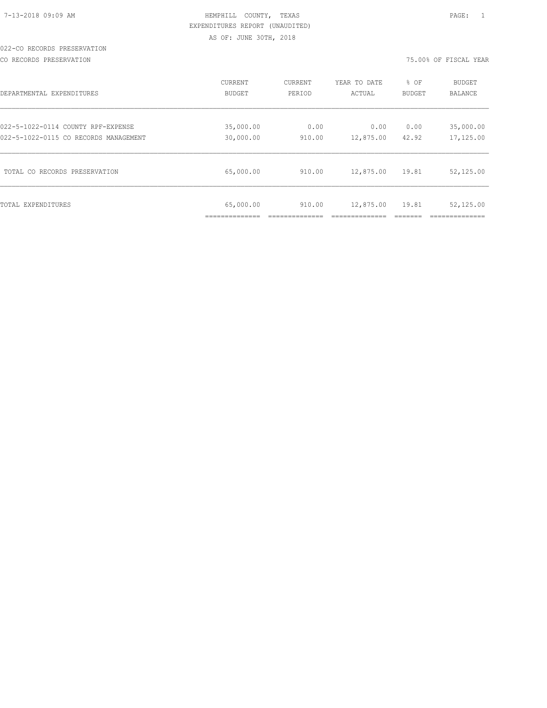| 7-13-2018 09:09 AM |  |
|--------------------|--|

#### 022-CO RECORDS PRESERVATION

#### CO RECORDS PRESERVATION 75.00% OF FISCAL YEAR

| DEPARTMENTAL EXPENDITURES             | CURRENT                   | <b>CURRENT</b> | YEAR TO DATE | % OF   | <b>BUDGET</b> |
|---------------------------------------|---------------------------|----------------|--------------|--------|---------------|
|                                       | BUDGET                    | PERIOD         | ACTUAL       | BUDGET | BALANCE       |
| 022-5-1022-0114 COUNTY RPF-EXPENSE    | 35,000.00                 | 0.00           | 0.00         | 0.00   | 35,000.00     |
| 022-5-1022-0115 CO RECORDS MANAGEMENT | 30,000.00                 | 910.00         | 12,875.00    | 42.92  | 17,125.00     |
| TOTAL CO RECORDS PRESERVATION         | 65,000.00                 | 910.00         | 12,875.00    | 19.81  | 52,125.00     |
| TOTAL EXPENDITURES                    | 65,000.00<br>____________ | 910.00         | 12,875.00    | 19.81  | 52,125.00     |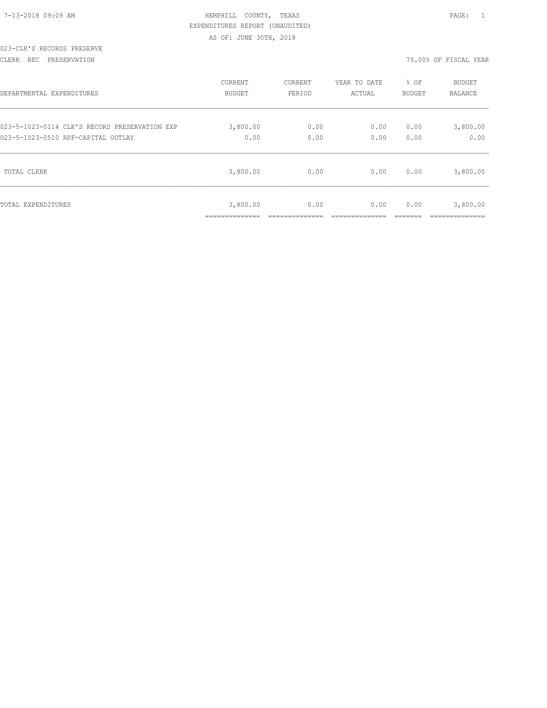|  |  | 7-13-2018 09:09 AM |
|--|--|--------------------|

#### 023-CLK'S RECORDS PRESERVE

#### CLERK REC PRESERVATION 75.00% OF FISCAL YEAR

| DEPARTMENTAL EXPENDITURES                     | <b>CURRENT</b> | CURRENT | YEAR TO DATE | % OF   | <b>BUDGET</b> |
|-----------------------------------------------|----------------|---------|--------------|--------|---------------|
|                                               | BUDGET         | PERIOD  | ACTUAL       | BUDGET | BALANCE       |
| 023-5-1023-0114 CLK'S RECORD PRESERVATION EXP | 3,800.00       | 0.00    | 0.00         | 0.00   | 3,800.00      |
| 023-5-1023-0510 RPF-CAPITAL OUTLAY            | 0.00           | 0.00    | 0.00         | 0.00   | 0.00          |
| TOTAL CLERK                                   | 3,800.00       | 0.00    | 0.00         | 0.00   | 3,800.00      |
| TOTAL EXPENDITURES                            | 3,800.00<br>.  | 0.00    | 0.00         | 0.00   | 3,800.00      |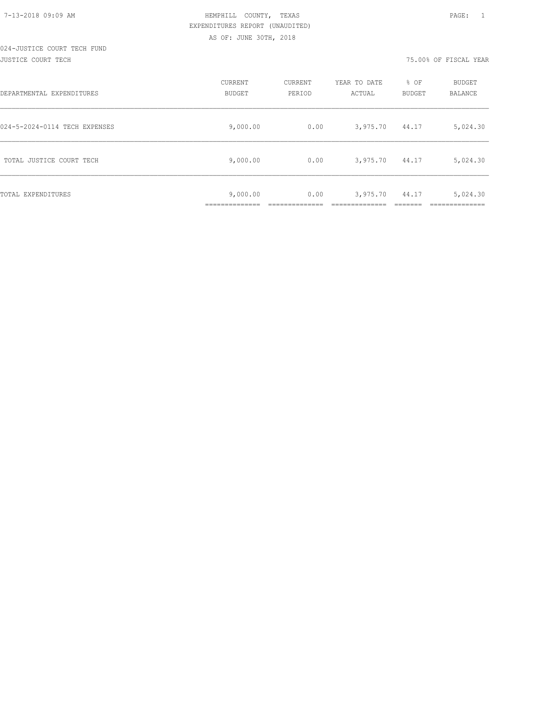| 7-13-2018 09:09 AM |  |  |
|--------------------|--|--|

# 024-JUSTICE COURT TECH FUND

JUSTICE COURT TECH 75.00% OF FISCAL YEAR

| DEPARTMENTAL EXPENDITURES     | CURRENT<br><b>BUDGET</b> | CURRENT<br>PERIOD | YEAR TO DATE<br>ACTUAL | % OF<br><b>BUDGET</b> | BUDGET<br>BALANCE |
|-------------------------------|--------------------------|-------------------|------------------------|-----------------------|-------------------|
| 024-5-2024-0114 TECH EXPENSES | 9,000.00                 | 0.00              | 3,975.70               | 44.17                 | 5,024.30          |
| TOTAL JUSTICE COURT TECH      | 9,000.00                 | 0.00              | 3,975.70               | 44.17                 | 5,024.30          |
| TOTAL EXPENDITURES            | 9,000.00<br>___________  | 0.00              | 3,975.70               | 44.17                 | 5,024.30          |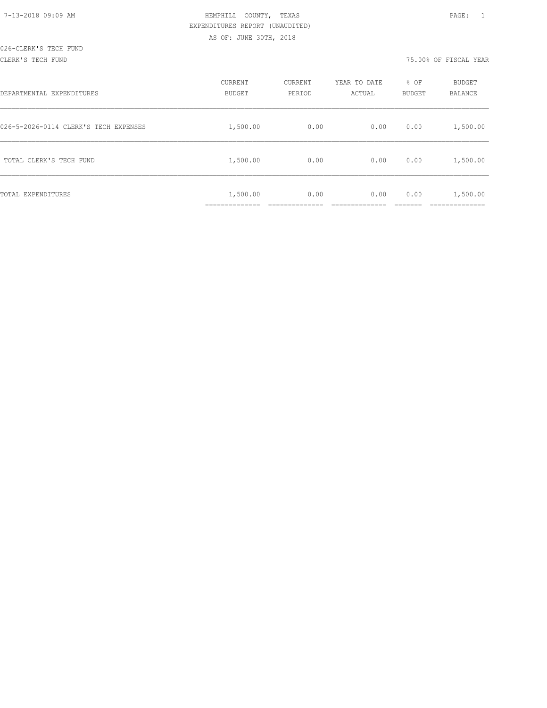| 7-13-2018 09:09 AM |  |
|--------------------|--|

#### CLERK'S TECH FUND 75.00% OF FISCAL YEAR

| DEPARTMENTAL EXPENDITURES             | CURRENT<br><b>BUDGET</b> | CURRENT<br>PERIOD | YEAR TO DATE<br>ACTUAL | % OF<br><b>BUDGET</b> | <b>BUDGET</b><br>BALANCE |
|---------------------------------------|--------------------------|-------------------|------------------------|-----------------------|--------------------------|
| 026-5-2026-0114 CLERK'S TECH EXPENSES | 1,500.00                 | 0.00              | 0.00                   | 0.00                  | 1,500.00                 |
| TOTAL CLERK'S TECH FUND               | 1,500.00                 | 0.00              | 0.00                   | 0.00                  | 1,500.00                 |
| TOTAL EXPENDITURES                    | 1,500.00                 | 0.00              | 0.00                   | 0.00                  | 1,500.00                 |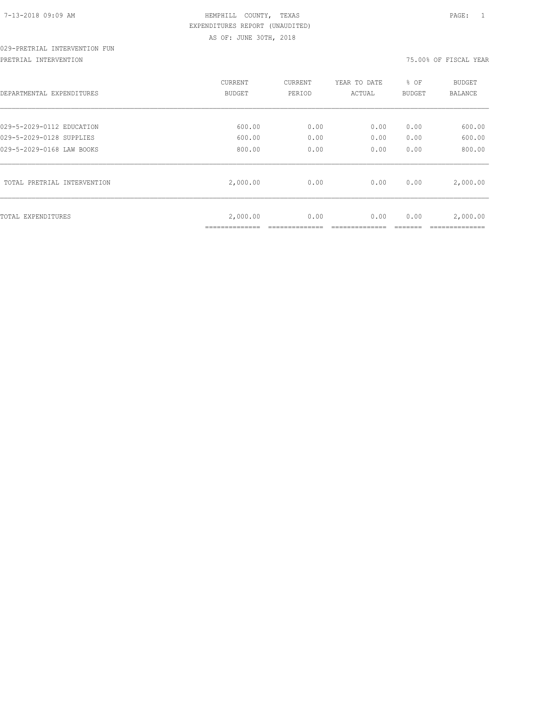# 029-PRETRIAL INTERVENTION FUN

PRETRIAL INTERVENTION 75.00% OF FISCAL YEAR

| DEPARTMENTAL EXPENDITURES   | CURRENT<br>BUDGET          | CURRENT<br>PERIOD | YEAR TO DATE<br>ACTUAL | % OF<br>BUDGET | <b>BUDGET</b><br>BALANCE |
|-----------------------------|----------------------------|-------------------|------------------------|----------------|--------------------------|
| 029-5-2029-0112 EDUCATION   | 600.00                     | 0.00              | 0.00                   | 0.00           | 600.00                   |
| 029-5-2029-0128 SUPPLIES    | 600.00                     | 0.00              | 0.00                   | 0.00           | 600.00                   |
| 029-5-2029-0168 LAW BOOKS   | 800.00                     | 0.00              | 0.00                   | 0.00           | 800.00                   |
| TOTAL PRETRIAL INTERVENTION | 2,000.00                   | 0.00              | 0.00                   | 0.00           | 2,000.00                 |
| TOTAL EXPENDITURES          | 2,000.00<br>______________ | 0.00              | 0.00                   | 0.00           | 2,000.00                 |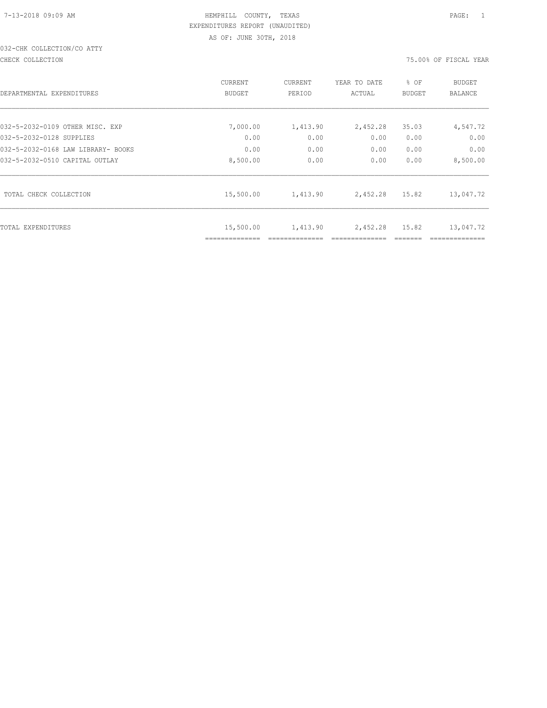## 032-CHK COLLECTION/CO ATTY

CHECK COLLECTION 75.00% OF FISCAL YEAR

| DEPARTMENTAL EXPENDITURES          | CURRENT<br><b>BUDGET</b> | CURRENT<br>PERIOD | YEAR TO DATE<br>ACTUAL | % OF<br>BUDGET | <b>BUDGET</b><br><b>BALANCE</b> |
|------------------------------------|--------------------------|-------------------|------------------------|----------------|---------------------------------|
| 032-5-2032-0109 OTHER MISC. EXP    | 7,000.00                 | 1,413.90          | 2,452.28               | 35.03          | 4,547.72                        |
| 032-5-2032-0128 SUPPLIES           | 0.00                     | 0.00              | 0.00                   | 0.00           | 0.00                            |
| 032-5-2032-0168 LAW LIBRARY- BOOKS | 0.00                     | 0.00              | 0.00                   | 0.00           | 0.00                            |
| 032-5-2032-0510 CAPITAL OUTLAY     | 8,500.00                 | 0.00              | 0.00                   | 0.00           | 8,500.00                        |
| TOTAL CHECK COLLECTION             | 15,500.00                | 1,413.90          | 2,452.28               | 15.82          | 13,047.72                       |
| TOTAL EXPENDITURES                 | 15,500.00                | 1,413.90          | 2,452.28               | 15.82          | 13,047.72                       |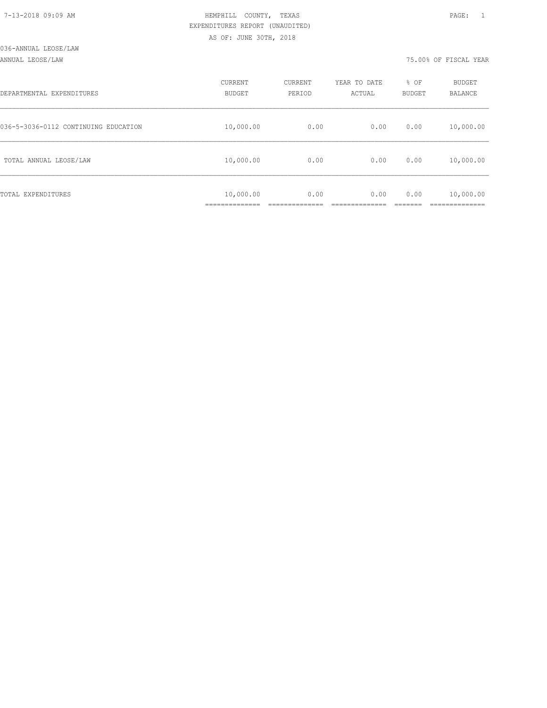| DEPARTMENTAL EXPENDITURES            | CURRENT<br>BUDGET | CURRENT<br>PERIOD | YEAR TO DATE<br>ACTUAL | % OF<br><b>BUDGET</b> | <b>BUDGET</b><br>BALANCE |
|--------------------------------------|-------------------|-------------------|------------------------|-----------------------|--------------------------|
| 036-5-3036-0112 CONTINUING EDUCATION | 10,000.00         | 0.00              | 0.00                   | 0.00                  | 10,000.00                |
| TOTAL ANNUAL LEOSE/LAW               | 10,000.00         | 0.00              | 0.00                   | 0.00                  | 10,000.00                |
| TOTAL EXPENDITURES                   | 10,000.00         | 0.00              | 0.00                   | 0.00                  | 10,000.00                |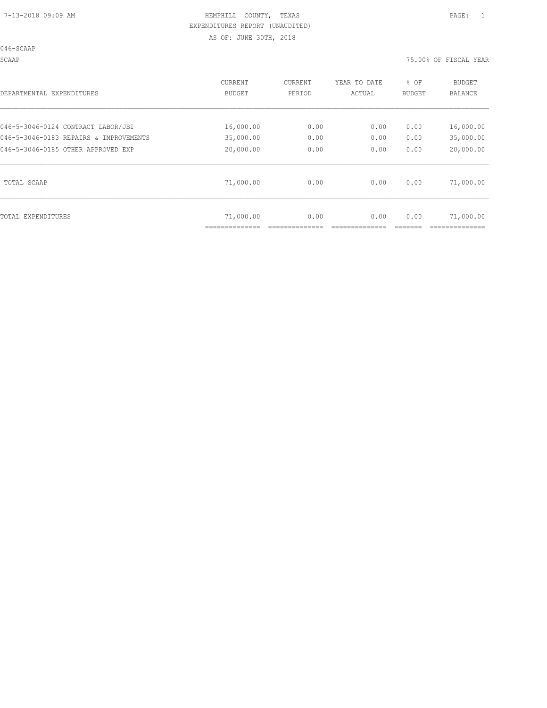046-SCAAP

SCAAP 75.00% OF FISCAL YEAR

| DEPARTMENTAL EXPENDITURES              | CURRENT<br>BUDGET | CURRENT<br>PERIOD | YEAR TO DATE<br>ACTUAL | % OF<br>BUDGET | BUDGET<br>BALANCE |
|----------------------------------------|-------------------|-------------------|------------------------|----------------|-------------------|
|                                        |                   |                   |                        |                |                   |
| 046-5-3046-0124 CONTRACT LABOR/JBI     | 16,000.00         | 0.00              | 0.00                   | 0.00           | 16,000.00         |
| 046-5-3046-0183 REPAIRS & IMPROVEMENTS | 35,000.00         | 0.00              | 0.00                   | 0.00           | 35,000.00         |
| 046-5-3046-0185 OTHER APPROVED EXP     | 20,000.00         | 0.00              | 0.00                   | 0.00           | 20,000.00         |
| TOTAL SCAAP                            | 71,000.00         | 0.00              | 0.00                   | 0.00           | 71,000.00         |
| TOTAL EXPENDITURES                     | 71,000.00         | 0.00              | 0.00                   | 0.00           | 71,000.00         |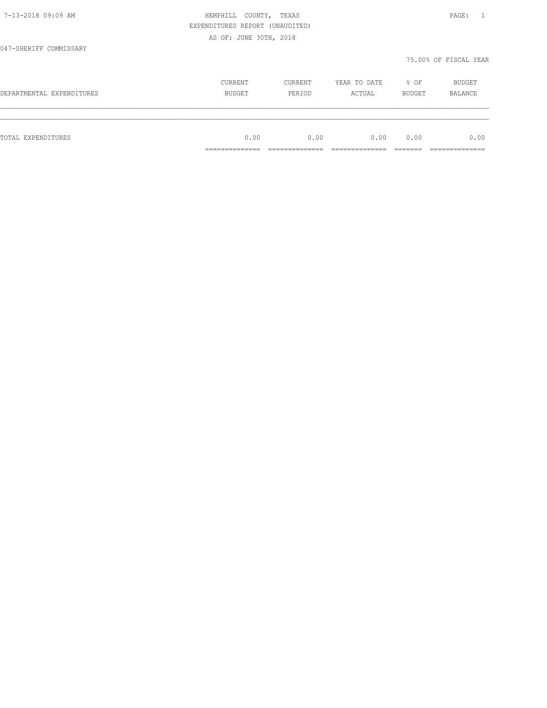|                           | EXPENDITURES REPORT (UNAUDITED) |         |              |        |                       |
|---------------------------|---------------------------------|---------|--------------|--------|-----------------------|
|                           | AS OF: JUNE 30TH, 2018          |         |              |        |                       |
| 047-SHERIFF COMMISSARY    |                                 |         |              |        |                       |
|                           |                                 |         |              |        | 75.00% OF FISCAL YEAR |
|                           | CURRENT                         | CURRENT | YEAR TO DATE | % OF   | BUDGET                |
| DEPARTMENTAL EXPENDITURES | BUDGET                          | PERIOD  | ACTUAL       | BUDGET | <b>BALANCE</b>        |
|                           |                                 |         |              |        |                       |
| TOTAL EXPENDITURES        | 0.00                            | 0.00    | 0.00         | 0.00   | 0.00                  |
|                           |                                 |         |              |        |                       |

7-13-2018 09:09 AM HEMPHILL COUNTY, TEXAS PAGE: 1